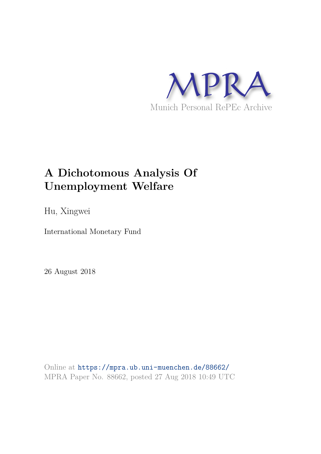

# **A Dichotomous Analysis Of Unemployment Welfare**

Hu, Xingwei

International Monetary Fund

26 August 2018

Online at https://mpra.ub.uni-muenchen.de/88662/ MPRA Paper No. 88662, posted 27 Aug 2018 10:49 UTC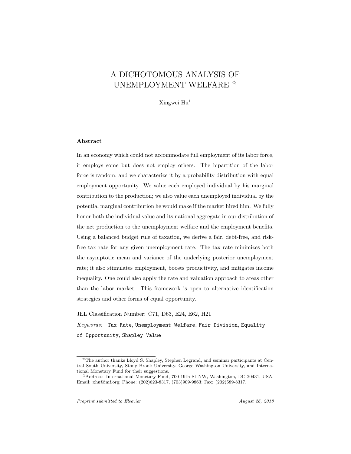# A DICHOTOMOUS ANALYSIS OF UNEMPLOYMENT WELFARE  $*$

Xingwei Hu<sup>1</sup>

# Abstract

In an economy which could not accommodate full employment of its labor force, it employs some but does not employ others. The bipartition of the labor force is random, and we characterize it by a probability distribution with equal employment opportunity. We value each employed individual by his marginal contribution to the production; we also value each unemployed individual by the potential marginal contribution he would make if the market hired him. We fully honor both the individual value and its national aggregate in our distribution of the net production to the unemployment welfare and the employment benefits. Using a balanced budget rule of taxation, we derive a fair, debt-free, and riskfree tax rate for any given unemployment rate. The tax rate minimizes both the asymptotic mean and variance of the underlying posterior unemployment rate; it also stimulates employment, boosts productivity, and mitigates income inequality. One could also apply the rate and valuation approach to areas other than the labor market. This framework is open to alternative identification strategies and other forms of equal opportunity.

JEL Classification Number: C71, D63, E24, E62, H21 *Keywords:* Tax Rate, Unemployment Welfare, Fair Division, Equality of Opportunity, Shapley Value

<sup>✩</sup>The author thanks Lloyd S. Shapley, Stephen Legrand, and seminar participants at Central South University, Stony Brook University, George Washington University, and International Monetary Fund for their suggestions.

<sup>1</sup>Address: International Monetary Fund, 700 19th St NW, Washington, DC 20431, USA. Email: xhu@imf.org; Phone: (202)623-8317, (703)909-9863; Fax: (202)589-8317.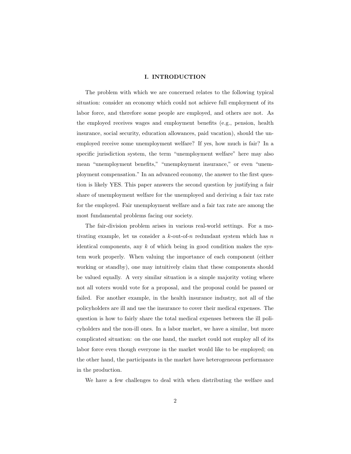#### I. INTRODUCTION

The problem with which we are concerned relates to the following typical situation: consider an economy which could not achieve full employment of its labor force, and therefore some people are employed, and others are not. As the employed receives wages and employment benefits (e.g., pension, health insurance, social security, education allowances, paid vacation), should the unemployed receive some unemployment welfare? If yes, how much is fair? In a specific jurisdiction system, the term "unemployment welfare" here may also mean "unemployment benefits," "unemployment insurance," or even "unemployment compensation." In an advanced economy, the answer to the first question is likely YES. This paper answers the second question by justifying a fair share of unemployment welfare for the unemployed and deriving a fair tax rate for the employed. Fair unemployment welfare and a fair tax rate are among the most fundamental problems facing our society.

The fair-division problem arises in various real-world settings. For a motivating example, let us consider a  $k$ -out-of-n redundant system which has n identical components, any  $k$  of which being in good condition makes the system work properly. When valuing the importance of each component (either working or standby), one may intuitively claim that these components should be valued equally. A very similar situation is a simple majority voting where not all voters would vote for a proposal, and the proposal could be passed or failed. For another example, in the health insurance industry, not all of the policyholders are ill and use the insurance to cover their medical expenses. The question is how to fairly share the total medical expenses between the ill policyholders and the non-ill ones. In a labor market, we have a similar, but more complicated situation: on the one hand, the market could not employ all of its labor force even though everyone in the market would like to be employed; on the other hand, the participants in the market have heterogeneous performance in the production.

We have a few challenges to deal with when distributing the welfare and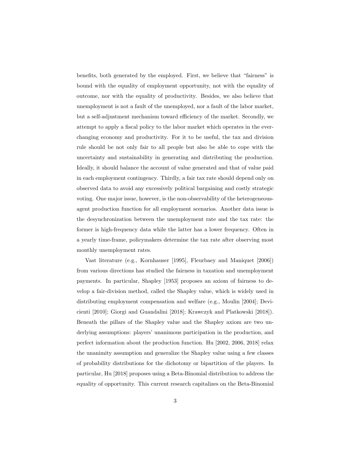benefits, both generated by the employed. First, we believe that "fairness" is bound with the equality of employment opportunity, not with the equality of outcome, nor with the equality of productivity. Besides, we also believe that unemployment is not a fault of the unemployed, nor a fault of the labor market, but a self-adjustment mechanism toward efficiency of the market. Secondly, we attempt to apply a fiscal policy to the labor market which operates in the everchanging economy and productivity. For it to be useful, the tax and division rule should be not only fair to all people but also be able to cope with the uncertainty and sustainability in generating and distributing the production. Ideally, it should balance the account of value generated and that of value paid in each employment contingency. Thirdly, a fair tax rate should depend only on observed data to avoid any excessively political bargaining and costly strategic voting. One major issue, however, is the non-observability of the heterogeneousagent production function for all employment scenarios. Another data issue is the desynchronization between the unemployment rate and the tax rate: the former is high-frequency data while the latter has a lower frequency. Often in a yearly time-frame, policymakers determine the tax rate after observing most monthly unemployment rates.

Vast literature (e.g., Kornhauser [1995], Fleurbaey and Maniquet [2006]) from various directions has studied the fairness in taxation and unemployment payments. In particular, Shapley [1953] proposes an axiom of fairness to develop a fair-division method, called the Shapley value, which is widely used in distributing employment compensation and welfare (e.g., Moulin [2004]; Devicienti [2010]; Giorgi and Guandalini [2018]; Krawczyk and Platkowski [2018]). Beneath the pillars of the Shapley value and the Shapley axiom are two underlying assumptions: players' unanimous participation in the production, and perfect information about the production function. Hu [2002, 2006, 2018] relax the unanimity assumption and generalize the Shapley value using a few classes of probability distributions for the dichotomy or bipartition of the players. In particular, Hu [2018] proposes using a Beta-Binomial distribution to address the equality of opportunity. This current research capitalizes on the Beta-Binomial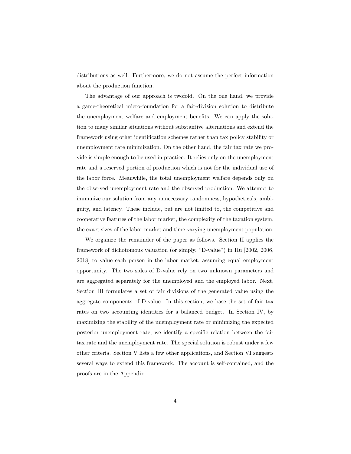distributions as well. Furthermore, we do not assume the perfect information about the production function.

The advantage of our approach is twofold. On the one hand, we provide a game-theoretical micro-foundation for a fair-division solution to distribute the unemployment welfare and employment benefits. We can apply the solution to many similar situations without substantive alternations and extend the framework using other identification schemes rather than tax policy stability or unemployment rate minimization. On the other hand, the fair tax rate we provide is simple enough to be used in practice. It relies only on the unemployment rate and a reserved portion of production which is not for the individual use of the labor force. Meanwhile, the total unemployment welfare depends only on the observed unemployment rate and the observed production. We attempt to immunize our solution from any unnecessary randomness, hypotheticals, ambiguity, and latency. These include, but are not limited to, the competitive and cooperative features of the labor market, the complexity of the taxation system, the exact sizes of the labor market and time-varying unemployment population.

We organize the remainder of the paper as follows. Section II applies the framework of dichotomous valuation (or simply, "D-value") in Hu [2002, 2006, 2018] to value each person in the labor market, assuming equal employment opportunity. The two sides of D-value rely on two unknown parameters and are aggregated separately for the unemployed and the employed labor. Next, Section III formulates a set of fair divisions of the generated value using the aggregate components of D-value. In this section, we base the set of fair tax rates on two accounting identities for a balanced budget. In Section IV, by maximizing the stability of the unemployment rate or minimizing the expected posterior unemployment rate, we identify a specific relation between the fair tax rate and the unemployment rate. The special solution is robust under a few other criteria. Section V lists a few other applications, and Section VI suggests several ways to extend this framework. The account is self-contained, and the proofs are in the Appendix.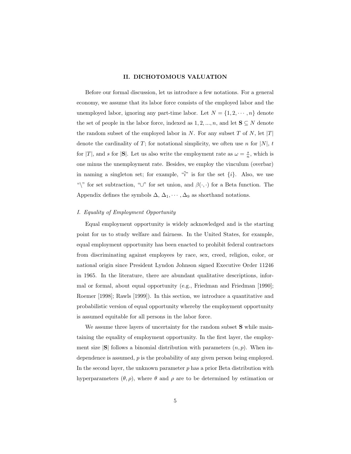#### II. DICHOTOMOUS VALUATION

Before our formal discussion, let us introduce a few notations. For a general economy, we assume that its labor force consists of the employed labor and the unemployed labor, ignoring any part-time labor. Let  $N = \{1, 2, \dots, n\}$  denote the set of people in the labor force, indexed as  $1, 2, ..., n$ , and let  $S \subseteq N$  denote the random subset of the employed labor in N. For any subset T of N, let  $|T|$ denote the cardinality of T; for notational simplicity, we often use n for  $|N|$ , t for |T|, and s for  $|\mathbf{S}|$ . Let us also write the employment rate as  $\omega = \frac{s}{n}$ , which is one minus the unemployment rate. Besides, we employ the vinculum (overbar) in naming a singleton set; for example,  $\sqrt[n]{v}$  is for the set  $\{i\}$ . Also, we use "\" for set subtraction, " $\cup$ " for set union, and  $\beta(\cdot, \cdot)$  for a Beta function. The Appendix defines the symbols  $\Delta$ ,  $\Delta_1$ ,  $\dots$ ,  $\Delta_9$  as shorthand notations.

#### *I. Equality of Employment Opportunity*

Equal employment opportunity is widely acknowledged and is the starting point for us to study welfare and fairness. In the United States, for example, equal employment opportunity has been enacted to prohibit federal contractors from discriminating against employees by race, sex, creed, religion, color, or national origin since President Lyndon Johnson signed Executive Order 11246 in 1965. In the literature, there are abundant qualitative descriptions, informal or formal, about equal opportunity (e.g., Friedman and Friedman [1990]; Roemer [1998]; Rawls [1999]). In this section, we introduce a quantitative and probabilistic version of equal opportunity whereby the employment opportunity is assumed equitable for all persons in the labor force.

We assume three layers of uncertainty for the random subset S while maintaining the equality of employment opportunity. In the first layer, the employment size  $|S|$  follows a binomial distribution with parameters  $(n, p)$ . When independence is assumed, p is the probability of any given person being employed. In the second layer, the unknown parameter  $p$  has a prior Beta distribution with hyperparameters  $(\theta, \rho)$ , where  $\theta$  and  $\rho$  are to be determined by estimation or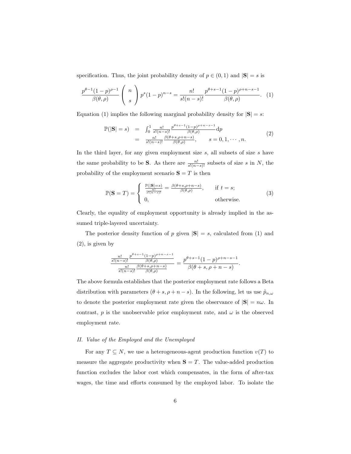specification. Thus, the joint probability density of  $p \in (0,1)$  and  $|\mathbf{S}| = s$  is

$$
\frac{p^{\theta-1}(1-p)^{\rho-1}}{\beta(\theta,\rho)} \left( n \atop s \right) p^s (1-p)^{n-s} = \frac{n!}{s!(n-s)!} \frac{p^{\theta+s-1}(1-p)^{\rho+n-s-1}}{\beta(\theta,\rho)}.
$$
 (1)

Equation (1) implies the following marginal probability density for  $|\mathbf{S}| = s$ :

$$
\mathbb{P}(|\mathbf{S}| = s) = \int_0^1 \frac{n!}{s!(n-s)!} \frac{p^{\theta+s-1}(1-p)^{\rho+n-s-1}}{\beta(\theta,\rho)} dp \n= \frac{n!}{s!(n-s)!} \frac{\beta(\theta+s,\rho+n-s)}{\beta(\theta,\rho)}, \qquad s = 0, 1, \dots, n.
$$
\n(2)

In the third layer, for any given employment size  $s$ , all subsets of size  $s$  have the same probability to be S. As there are  $\frac{n!}{s!(n-s)!}$  subsets of size s in N, the probability of the employment scenario  $S = T$  is then

$$
\mathbb{P}(\mathbf{S} = T) = \begin{cases} \frac{\mathbb{P}(|\mathbf{S}| = s)}{\frac{n!}{s!(n-s)!}} = \frac{\beta(\theta + s, \rho + n - s)}{\beta(\theta, \rho)}, & \text{if } t = s; \\ 0, & \text{otherwise.} \end{cases}
$$
(3)

Clearly, the equality of employment opportunity is already implied in the assumed triple-layered uncertainty.

The posterior density function of p given  $|\mathbf{S}| = s$ , calculated from (1) and (2), is given by

$$
\frac{\frac{n!}{s!(n-s)!}\frac{p^{\theta+s-1}(1-p)^{\rho+n-s-1}}{\beta(\theta,\rho)}}{\frac{n!}{s!(n-s)!}\frac{\beta(\theta+s,\rho+n-s)}{\beta(\theta,\rho)}}=\frac{p^{\theta+s-1}(1-p)^{\rho+n-s-1}}{\beta(\theta+s,\rho+n-s)}.
$$

The above formula establishes that the posterior employment rate follows a Beta distribution with parameters  $(\theta + s, \rho + n - s)$ . In the following, let us use  $\tilde{p}_{n,\omega}$ to denote the posterior employment rate given the observance of  $|S| = n\omega$ . In contrast, p is the unobservable prior employment rate, and  $\omega$  is the observed employment rate.

#### *II. Value of the Employed and the Unemployed*

For any  $T \subseteq N$ , we use a heterogeneous-agent production function  $v(T)$  to measure the aggregate productivity when  $S = T$ . The value-added production function excludes the labor cost which compensates, in the form of after-tax wages, the time and efforts consumed by the employed labor. To isolate the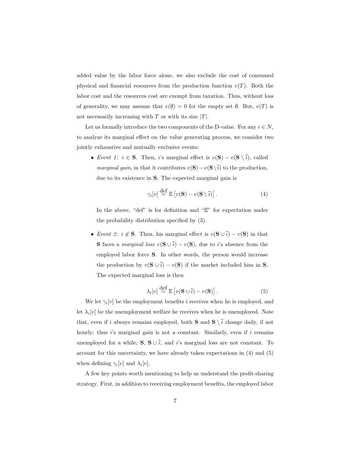added value by the labor force alone, we also exclude the cost of consumed physical and financial resources from the production function  $v(T)$ . Both the labor cost and the resources cost are exempt from taxation. Thus, without loss of generality, we may assume that  $v(\emptyset) = 0$  for the empty set  $\emptyset$ . But,  $v(T)$  is not necessarily increasing with  $T$  or with its size  $|T|$ .

Let us formally introduce the two components of the D-value. For any  $i \in N$ , to analyze its marginal effect on the value generating process, we consider two jointly exhaustive and mutually exclusive events:

• *Event 1*:  $i \in S$ . Then, i's marginal effect is  $v(S) - v(S \setminus \overline{i})$ , called *marginal gain*, in that it contributes  $v(S) - v(S\setminus \overline{i})$  to the production, due to its existence in **S**. The expected marginal gain is

$$
\gamma_i[v] \stackrel{\text{def}}{=} \mathbb{E}\left[v(\mathbf{S}) - v(\mathbf{S}\setminus\overline{i})\right].\tag{4}
$$

In the above, "def" is for definition and "E" for expectation under the probability distribution specified by (3).

• *Event 2*:  $i \notin S$ . Then, his marginal effect is  $v(S \cup \overline{i}) - v(S)$  in that **S** faces a *marginal loss*  $v(S \cup \overline{i}) - v(S)$ , due to *i*'s absence from the employed labor force S. In other words, the person would increase the production by  $v(S \cup \overline{i}) - v(S)$  if the market included him in S. The expected marginal loss is then

$$
\lambda_i[v] \stackrel{\text{def}}{=} \mathbb{E}\left[v(\mathbf{S} \cup \overline{i}) - v(\mathbf{S})\right].\tag{5}
$$

We let  $\gamma_i[v]$  be the employment benefits *i* receives when he is employed, and let  $\lambda_i[v]$  be the unemployment welfare he receives when he is unemployed. Note that, even if i always remains employed, both **S** and  $\mathbf{S} \setminus \overline{i}$  change daily, if not hourly; thus  $i$ 's marginal gain is not a constant. Similarly, even if  $i$  remains unemployed for a while,  $S, S \cup \overline{i}$ , and i's marginal loss are not constant. To account for this uncertainty, we have already taken expectations in (4) and (5) when defining  $\gamma_i[v]$  and  $\lambda_i[v]$ .

A few key points worth mentioning to help us understand the profit-sharing strategy. First, in addition to receiving employment benefits, the employed labor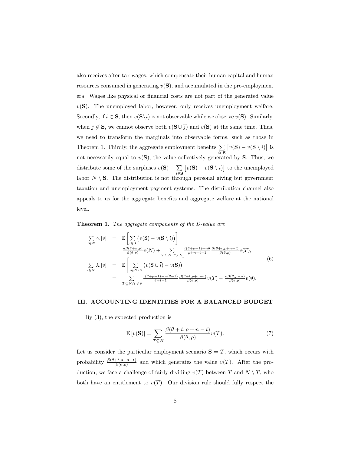also receives after-tax wages, which compensate their human capital and human resources consumed in generating  $v(S)$ , and accumulated in the pre-employment era. Wages like physical or financial costs are not part of the generated value  $v(S)$ . The unemployed labor, however, only receives unemployment welfare. Secondly, if  $i \in \mathbf{S}$ , then  $v(\mathbf{S}\backslash \overline{i})$  is not observable while we observe  $v(\mathbf{S})$ . Similarly, when  $j \notin S$ , we cannot observe both  $v(S \cup \overline{j})$  and  $v(S)$  at the same time. Thus, we need to transform the marginals into observable forms, such as those in Theorem 1. Thirdly, the aggregate employment benefits  $\Sigma$  $\sum_{i\in{\bf S}}$  $\left[v(\mathbf{S})-v(\mathbf{S}\setminus \overline{i})\right]$  is not necessarily equal to  $v(S)$ , the value collectively generated by S. Thus, we distribute some of the surpluses  $v(S) - \sum_{n=1}^{\infty}$  $\sum_{i\in{\bf S}}$  $[v(\mathbf{S}) - v(\mathbf{S} \setminus \overline{i})]$  to the unemployed labor  $N \setminus S$ . The distribution is not through personal giving but government taxation and unemployment payment systems. The distribution channel also appeals to us for the aggregate benefits and aggregate welfare at the national level.

Theorem 1. *The aggregate components of the D-value are*

$$
\sum_{i \in N} \gamma_i[v] = \mathbb{E} \left[ \sum_{i \in \mathbf{S}} \left( v(\mathbf{S}) - v(\mathbf{S} \setminus \overline{i}) \right) \right]
$$
\n
$$
= \frac{n\beta(\theta + n, \rho)}{\beta(\theta, \rho)} v(N) + \sum_{T \subseteq N: T \neq N} \frac{t(\theta + \rho - 1) - n\theta}{\rho + n - t - 1} \frac{\beta(\theta + t, \rho + n - t)}{\beta(\theta, \rho)} v(T),
$$
\n
$$
\sum_{i \in N} \lambda_i[v] = \mathbb{E} \left[ \sum_{i \in N \setminus \mathbf{S}} \left( v(\mathbf{S} \cup \overline{i}) - v(\mathbf{S}) \right) \right]
$$
\n
$$
= \sum_{T \subseteq N: T \neq \emptyset} \frac{t(\theta + \rho - 1) - n(\theta - 1)}{\theta + t - 1} \frac{\beta(\theta + t, \rho + n - t)}{\beta(\theta, \rho)} v(T) - \frac{n\beta(\theta, \rho + n)}{\beta(\theta, \rho)} v(\emptyset).
$$
\n(6)

# III. ACCOUNTING IDENTITIES FOR A BALANCED BUDGET

By (3), the expected production is

$$
\mathbb{E}\left[v(\mathbf{S})\right] = \sum_{T \subseteq N} \frac{\beta(\theta + t, \rho + n - t)}{\beta(\theta, \rho)} v(T). \tag{7}
$$

Let us consider the particular employment scenario  $S = T$ , which occurs with probability  $\frac{\beta(\theta+t,\rho+n-t)}{\beta(\theta,\rho)}$  and which generates the value  $v(T)$ . After the production, we face a challenge of fairly dividing  $v(T)$  between T and  $N \setminus T$ , who both have an entitlement to  $v(T)$ . Our division rule should fully respect the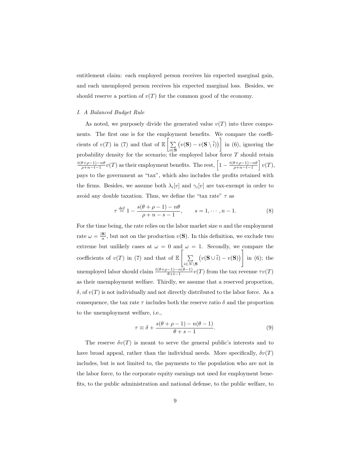entitlement claim: each employed person receives his expected marginal gain, and each unemployed person receives his expected marginal loss. Besides, we should reserve a portion of  $v(T)$  for the common good of the economy.

#### *I. A Balanced Budget Rule*

As noted, we purposely divide the generated value  $v(T)$  into three components. The first one is for the employment benefits. We compare the coefficients of  $v(T)$  in (7) and that of  $\mathbb{E}\left[\sum_{i=1}^{n} x_i\right]$ <sup>i</sup>∈<sup>S</sup>  $(v(\mathbf{S}) - v(\mathbf{S} \setminus \overline{i}))$  in (6), ignoring the probability density for the scenario; the employed labor force T should retain  $\frac{t(\theta+\rho-1)-n\theta}{}$  $\frac{\theta+\rho-1-n\theta}{\rho+n-t-1}v(T)$  as their employment benefits. The rest,  $\left[1-\frac{t(\theta+\rho-1)-n\theta}{\rho+n-t-1}\right]$  $\rho+n-t-1$  $\big]v(T),$ pays to the government as "tax", which also includes the profits retained with the firms. Besides, we assume both  $\lambda_i[v]$  and  $\gamma_i[v]$  are tax-exempt in order to avoid any double taxation. Thus, we define the "tax rate"  $\tau$  as

$$
\tau \stackrel{\text{def}}{=} 1 - \frac{s(\theta + \rho - 1) - n\theta}{\rho + n - s - 1}, \qquad s = 1, \cdots, n - 1.
$$
 (8)

For the time being, the rate relies on the labor market size  $n$  and the employment rate  $\omega = \frac{|\mathbf{S}|}{n}$ , but not on the production  $v(\mathbf{S})$ . In this definition, we exclude two extreme but unlikely cases at  $\omega = 0$  and  $\omega = 1$ . Secondly, we compare the coefficients of  $v(T)$  in (7) and that of  $\mathbb{E}\left[\right]$  $\sum$  $i\in N\backslash {\bf S}$  $\left(v({\bf S} \cup \overline{i})-v({\bf S})\right)$ 1 in (6); the unemployed labor should claim  $\frac{t(\theta+\rho-1)-n(\theta-1)}{\theta+t-1}v(T)$  from the tax revenue  $\tau v(T)$ as their unemployment welfare. Thirdly, we assume that a reserved proportion,  $\delta$ , of  $v(T)$  is not individually and not directly distributed to the labor force. As a consequence, the tax rate  $\tau$  includes both the reserve ratio  $\delta$  and the proportion to the unemployment welfare, i.e.,

$$
\tau \equiv \delta + \frac{s(\theta + \rho - 1) - n(\theta - 1)}{\theta + s - 1}.
$$
\n(9)

The reserve  $\delta v(T)$  is meant to serve the general public's interests and to have broad appeal, rather than the individual needs. More specifically,  $\delta v(T)$ includes, but is not limited to, the payments to the population who are not in the labor force, to the corporate equity earnings not used for employment benefits, to the public administration and national defense, to the public welfare, to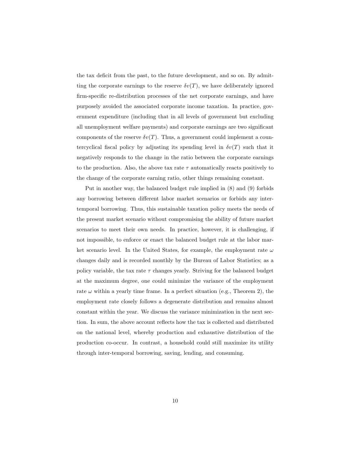the tax deficit from the past, to the future development, and so on. By admitting the corporate earnings to the reserve  $\delta v(T)$ , we have deliberately ignored firm-specific re-distribution processes of the net corporate earnings, and have purposely avoided the associated corporate income taxation. In practice, government expenditure (including that in all levels of government but excluding all unemployment welfare payments) and corporate earnings are two significant components of the reserve  $\delta v(T)$ . Thus, a government could implement a countercyclical fiscal policy by adjusting its spending level in  $\delta v(T)$  such that it negatively responds to the change in the ratio between the corporate earnings to the production. Also, the above tax rate  $\tau$  automatically reacts positively to the change of the corporate earning ratio, other things remaining constant.

Put in another way, the balanced budget rule implied in (8) and (9) forbids any borrowing between different labor market scenarios or forbids any intertemporal borrowing. Thus, this sustainable taxation policy meets the needs of the present market scenario without compromising the ability of future market scenarios to meet their own needs. In practice, however, it is challenging, if not impossible, to enforce or enact the balanced budget rule at the labor market scenario level. In the United States, for example, the employment rate  $\omega$ changes daily and is recorded monthly by the Bureau of Labor Statistics; as a policy variable, the tax rate  $\tau$  changes yearly. Striving for the balanced budget at the maximum degree, one could minimize the variance of the employment rate  $\omega$  within a yearly time frame. In a perfect situation (e.g., Theorem 2), the employment rate closely follows a degenerate distribution and remains almost constant within the year. We discuss the variance minimization in the next section. In sum, the above account reflects how the tax is collected and distributed on the national level, whereby production and exhaustive distribution of the production co-occur. In contrast, a household could still maximize its utility through inter-temporal borrowing, saving, lending, and consuming.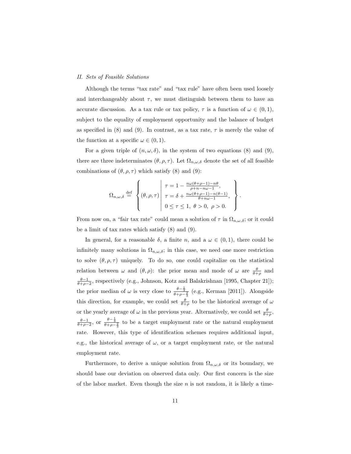#### *II. Sets of Feasible Solutions*

Although the terms "tax rate" and "tax rule" have often been used loosely and interchangeably about  $\tau$ , we must distinguish between them to have an accurate discussion. As a tax rule or tax policy,  $\tau$  is a function of  $\omega \in (0,1)$ , subject to the equality of employment opportunity and the balance of budget as specified in (8) and (9). In contrast, as a tax rate,  $\tau$  is merely the value of the function at a specific  $\omega \in (0,1)$ .

For a given triple of  $(n, \omega, \delta)$ , in the system of two equations (8) and (9), there are three indeterminates  $(\theta, \rho, \tau)$ . Let  $\Omega_{n,\omega,\delta}$  denote the set of all feasible combinations of  $(\theta, \rho, \tau)$  which satisfy (8) and (9):

$$
\Omega_{n,\omega,\delta} \stackrel{\text{def}}{=} \left\{ (\theta,\rho,\tau) \middle| \begin{array}{l} \tau = 1 - \frac{n\omega(\theta+\rho-1)-n\theta}{\rho+n-n\omega-1}, \\ \tau = \delta + \frac{n\omega(\theta+\rho-1)-n(\theta-1)}{\theta+n\omega-1}, \\ 0 \leq \tau \leq 1, \ \theta > 0, \ \rho > 0. \end{array} \right\}
$$

.

From now on, a "fair tax rate" could mean a solution of  $\tau$  in  $\Omega_{n,\omega,\delta}$ ; or it could be a limit of tax rates which satisfy (8) and (9).

In general, for a reasonable  $\delta$ , a finite n, and a  $\omega \in (0,1)$ , there could be infinitely many solutions in  $\Omega_{n,\omega,\delta}$ ; in this case, we need one more restriction to solve  $(\theta, \rho, \tau)$  uniquely. To do so, one could capitalize on the statistical relation between  $\omega$  and  $(\theta, \rho)$ : the prior mean and mode of  $\omega$  are  $\frac{\theta}{\theta+\rho}$  and  $\frac{\theta-1}{\theta+\rho-2}$ , respectively (e.g., Johnson, Kotz and Balakrishnan [1995, Chapter 21]); the prior median of  $\omega$  is very close to  $\frac{\theta - \frac{1}{3}}{\theta + \rho - \frac{2}{3}}$  (e.g., Kerman [2011]). Alongside this direction, for example, we could set  $\frac{\theta}{\theta+\rho}$  to be the historical average of  $\omega$ or the yearly average of  $\omega$  in the previous year. Alternatively, we could set  $\frac{\theta}{\theta+\rho}$ ,  $\frac{\theta-1}{\theta+\rho-2}$ , or  $\frac{\theta-\frac{1}{3}}{\theta+\rho-\frac{2}{3}}$  to be a target employment rate or the natural employment rate. However, this type of identification schemes requires additional input, e.g., the historical average of  $\omega$ , or a target employment rate, or the natural employment rate.

Furthermore, to derive a unique solution from  $\Omega_{n,\omega,\delta}$  or its boundary, we should base our deviation on observed data only. Our first concern is the size of the labor market. Even though the size  $n$  is not random, it is likely a time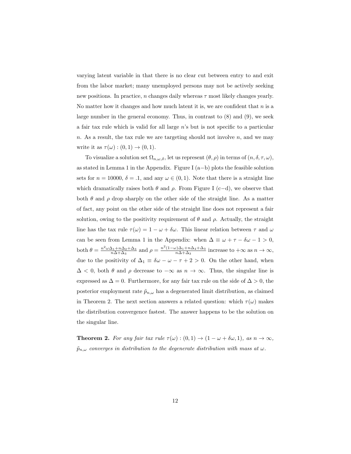varying latent variable in that there is no clear cut between entry to and exit from the labor market; many unemployed persons may not be actively seeking new positions. In practice, n changes daily whereas  $\tau$  most likely changes yearly. No matter how it changes and how much latent it is, we are confident that  $n$  is a large number in the general economy. Thus, in contrast to (8) and (9), we seek a fair tax rule which is valid for all large n's but is not specific to a particular n. As a result, the tax rule we are targeting should not involve  $n$ , and we may write it as  $\tau(\omega) : (0,1) \to (0,1)$ .

To visualize a solution set  $\Omega_{n,\omega,\delta}$ , let us represent  $(\theta, \rho)$  in terms of  $(n, \delta, \tau, \omega)$ , as stated in Lemma 1 in the Appendix. Figure I (a−b) plots the feasible solution sets for  $n = 10000$ ,  $\delta = 0.1$ , and any  $\omega \in (0, 1)$ . Note that there is a straight line which dramatically raises both  $\theta$  and  $\rho$ . From Figure I (c−d), we observe that both  $\theta$  and  $\rho$  drop sharply on the other side of the straight line. As a matter of fact, any point on the other side of the straight line does not represent a fair solution, owing to the positivity requirement of  $\theta$  and  $\rho$ . Actually, the straight line has the tax rule  $\tau(\omega) = 1 - \omega + \delta \omega$ . This linear relation between  $\tau$  and  $\omega$ can be seen from Lemma 1 in the Appendix: when  $\Delta \equiv \omega + \tau - \delta \omega - 1 > 0$ , both  $\theta = \frac{n^2 \omega \Delta_1 + n \Delta_2 + \Delta_3}{n \Delta + \Delta_3}$  and  $\rho = \frac{n^2 (1 - \omega) \Delta_1 + n \Delta_4 + \Delta_3}{n \Delta + \Delta_3}$  increase to  $+\infty$  as  $n \to \infty$ , due to the positivity of  $\Delta_1 \equiv \delta \omega - \omega - \tau + 2 > 0$ . On the other hand, when  $\Delta$  < 0, both  $\theta$  and  $\rho$  decrease to  $-\infty$  as  $n \to \infty$ . Thus, the singular line is expressed as  $\Delta = 0$ . Furthermore, for any fair tax rule on the side of  $\Delta > 0$ , the posterior employment rate  $\tilde{p}_{n,\omega}$  has a degenerated limit distribution, as claimed in Theorem 2. The next section answers a related question: which  $\tau(\omega)$  makes the distribution convergence fastest. The answer happens to be the solution on the singular line.

**Theorem 2.** For any fair tax rule  $\tau(\omega) : (0,1) \to (1 - \omega + \delta \omega, 1)$ , as  $n \to \infty$ ,  $\tilde{p}_{n,\omega}$  *converges in distribution to the degenerate distribution with mass at*  $\omega$ *.*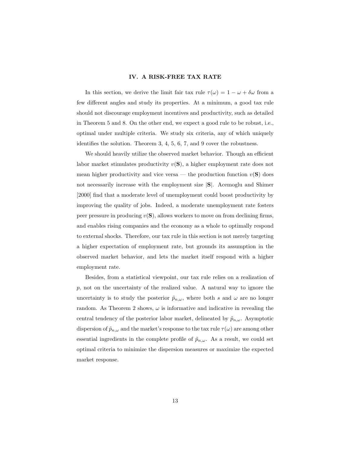#### IV. A RISK-FREE TAX RATE

In this section, we derive the limit fair tax rule  $\tau(\omega) = 1 - \omega + \delta \omega$  from a few different angles and study its properties. At a minimum, a good tax rule should not discourage employment incentives and productivity, such as detailed in Theorem 5 and 8. On the other end, we expect a good rule to be robust, i.e., optimal under multiple criteria. We study six criteria, any of which uniquely identifies the solution. Theorem 3, 4, 5, 6, 7, and 9 cover the robustness.

We should heavily utilize the observed market behavior. Though an efficient labor market stimulates productivity  $v(S)$ , a higher employment rate does not mean higher productivity and vice versa — the production function  $v(S)$  does not necessarily increase with the employment size <sup>|</sup>S|. Acemoglu and Shimer [2000] find that a moderate level of unemployment could boost productivity by improving the quality of jobs. Indeed, a moderate unemployment rate fosters peer pressure in producing  $v(S)$ , allows workers to move on from declining firms, and enables rising companies and the economy as a whole to optimally respond to external shocks. Therefore, our tax rule in this section is not merely targeting a higher expectation of employment rate, but grounds its assumption in the observed market behavior, and lets the market itself respond with a higher employment rate.

Besides, from a statistical viewpoint, our tax rule relies on a realization of p, not on the uncertainty of the realized value. A natural way to ignore the uncertainty is to study the posterior  $\tilde{p}_{n,\omega}$ , where both s and  $\omega$  are no longer random. As Theorem 2 shows,  $\omega$  is informative and indicative in revealing the central tendency of the posterior labor market, delineated by  $\tilde{p}_{n,\omega}$ . Asymptotic dispersion of  $\tilde{p}_{n,\omega}$  and the market's response to the tax rule  $\tau(\omega)$  are among other essential ingredients in the complete profile of  $\tilde{p}_{n,\omega}$ . As a result, we could set optimal criteria to minimize the dispersion measures or maximize the expected market response.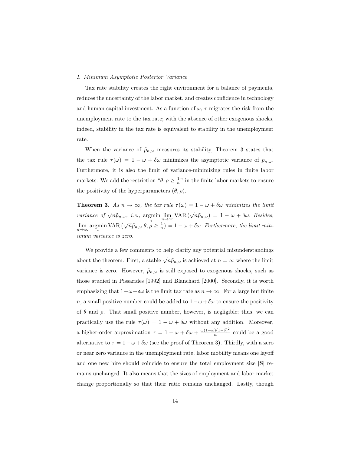#### *I. Minimum Asymptotic Posterior Variance*

Tax rate stability creates the right environment for a balance of payments, reduces the uncertainty of the labor market, and creates confidence in technology and human capital investment. As a function of  $\omega$ ,  $\tau$  migrates the risk from the unemployment rate to the tax rate; with the absence of other exogenous shocks, indeed, stability in the tax rate is equivalent to stability in the unemployment rate.

When the variance of  $\tilde{p}_{n,\omega}$  measures its stability, Theorem 3 states that the tax rule  $\tau(\omega) = 1 - \omega + \delta\omega$  minimizes the asymptotic variance of  $\tilde{p}_{n,\omega}$ . Furthermore, it is also the limit of variance-minimizing rules in finite labor markets. We add the restriction " $\theta$ ,  $\rho \geq \frac{1}{n}$ " in the finite labor markets to ensure the positivity of the hyperparameters  $(\theta, \rho)$ .

**Theorem 3.** As  $n \to \infty$ , the tax rule  $\tau(\omega) = 1 - \omega + \delta \omega$  minimizes the limit *variance of*  $\sqrt{n}\tilde{p}_{n,\omega}$ , *i.e.*,  $\operatorname*{argmin}_{\tau} \lim_{n \to \infty} \text{VAR}(\sqrt{n}\tilde{p}_{n,\omega}) = 1 - \omega + \delta\omega$ . *Besides,*  $\lim_{n\to\infty} \operatorname*{argmin}_{\tau} \text{VAR}(\sqrt{n}\tilde{p}_{n,\omega}|\theta, \rho \geq \frac{1}{n}) = 1 - \omega + \delta\omega$ . *Furthermore, the limit minimum variance is zero.*

We provide a few comments to help clarify any potential misunderstandings about the theorem. First, a stable  $\sqrt{n}\tilde{p}_{n,\omega}$  is achieved at  $n = \infty$  where the limit variance is zero. However,  $\tilde{p}_{n,\omega}$  is still exposed to exogenous shocks, such as those studied in Pissarides [1992] and Blanchard [2000]. Secondly, it is worth emphasizing that  $1-\omega+\delta\omega$  is the limit tax rate as  $n \to \infty$ . For a large but finite n, a small positive number could be added to  $1 - \omega + \delta \omega$  to ensure the positivity of  $\theta$  and  $\rho$ . That small positive number, however, is negligible; thus, we can practically use the rule  $\tau(\omega) = 1 - \omega + \delta \omega$  without any addition. Moreover, a higher-order approximation  $\tau = 1 - \omega + \delta \omega + \frac{\omega(1-\omega)(1-\delta)^2}{n}$  $\frac{n^{(1-\sigma)}}{n}$  could be a good alternative to  $\tau = 1 - \omega + \delta \omega$  (see the proof of Theorem 3). Thirdly, with a zero or near zero variance in the unemployment rate, labor mobility means one layoff and one new hire should coincide to ensure the total employment size  $|S|$  remains unchanged. It also means that the sizes of employment and labor market change proportionally so that their ratio remains unchanged. Lastly, though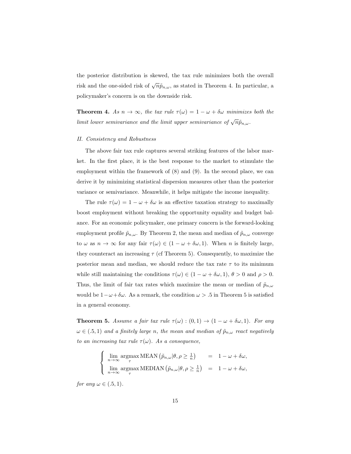the posterior distribution is skewed, the tax rule minimizes both the overall risk and the one-sided risk of  $\sqrt{n}\tilde{p}_{n,\omega}$ , as stated in Theorem 4. In particular, a policymaker's concern is on the downside risk.

**Theorem 4.** As  $n \to \infty$ , the tax rule  $\tau(\omega) = 1 - \omega + \delta \omega$  minimizes both the *limit lower semivariance and the limit upper semivariance of*  $\sqrt{n}\tilde{p}_{n,\omega}$ .

#### *II. Consistency and Robustness*

The above fair tax rule captures several striking features of the labor market. In the first place, it is the best response to the market to stimulate the employment within the framework of (8) and (9). In the second place, we can derive it by minimizing statistical dispersion measures other than the posterior variance or semivariance. Meanwhile, it helps mitigate the income inequality.

The rule  $\tau(\omega) = 1 - \omega + \delta \omega$  is an effective taxation strategy to maximally boost employment without breaking the opportunity equality and budget balance. For an economic policymaker, one primary concern is the forward-looking employment profile  $\tilde{p}_{n,\omega}$ . By Theorem 2, the mean and median of  $\tilde{p}_{n,\omega}$  converge to  $\omega$  as  $n \to \infty$  for any fair  $\tau(\omega) \in (1 - \omega + \delta \omega, 1)$ . When n is finitely large, they counteract an increasing  $\tau$  (cf Theorem 5). Consequently, to maximize the posterior mean and median, we should reduce the tax rate  $\tau$  to its minimum while still maintaining the conditions  $\tau(\omega) \in (1 - \omega + \delta \omega, 1), \theta > 0$  and  $\rho > 0$ . Thus, the limit of fair tax rates which maximize the mean or median of  $\tilde{p}_{n,\omega}$ would be  $1-\omega+\delta\omega$ . As a remark, the condition  $\omega > .5$  in Theorem 5 is satisfied in a general economy.

**Theorem 5.** Assume a fair tax rule  $\tau(\omega) : (0,1) \to (1 - \omega + \delta \omega, 1)$ *. For any*  $\omega \in (0.5, 1)$  *and a finitely large n, the mean and median of*  $\tilde{p}_{n,\omega}$  *react negatively to an increasing tax rule*  $\tau(\omega)$ *. As a consequence,* 

$$
\begin{cases}\n\lim_{n \to \infty} \operatorname*{argmax}_{\tau} \text{MEAN} \left( \tilde{p}_{n,\omega} | \theta, \rho \ge \frac{1}{n} \right) = 1 - \omega + \delta \omega, \\
\lim_{n \to \infty} \operatorname*{argmax}_{\tau} \text{MEDIAN} \left( \tilde{p}_{n,\omega} | \theta, \rho \ge \frac{1}{n} \right) = 1 - \omega + \delta \omega,\n\end{cases}
$$

*for any*  $\omega \in (.5, 1)$ *.*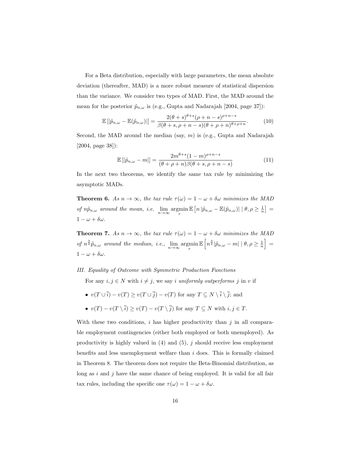For a Beta distribution, especially with large parameters, the mean absolute deviation (thereafter, MAD) is a more robust measure of statistical dispersion than the variance. We consider two types of MAD. First, the MAD around the mean for the posterior  $\tilde{p}_{n,\omega}$  is (e.g., Gupta and Nadarajah [2004, page 37]):

$$
\mathbb{E}\left[|\tilde{p}_{n,\omega} - \mathbb{E}(\tilde{p}_{n,\omega})|\right] = \frac{2(\theta + s)^{\theta + s}(\rho + n - s)^{\rho + n - s}}{\beta(\theta + s, \rho + n - s)(\theta + \rho + n)^{\theta + \rho + n}}.\tag{10}
$$

Second, the MAD around the median (say,  $m$ ) is (e.g., Gupta and Nadarajah [2004, page 38]):

$$
\mathbb{E}\left[|\tilde{p}_{n,\omega} - m|\right] = \frac{2m^{\theta+s}(1-m)^{\rho+n-s}}{(\theta+\rho+n)\beta(\theta+s,\rho+n-s)}
$$
(11)

In the next two theorems, we identify the same tax rule by minimizing the asymptotic MADs.

**Theorem 6.** As  $n \to \infty$ , the tax rule  $\tau(\omega) = 1 - \omega + \delta \omega$  minimizes the MAD *of*  $n\tilde{p}_{n,\omega}$  *around the mean, i.e.*  $\lim_{n\to\infty} \operatorname*{argmin}_{\tau}$  $\mathbb{E}\left[ n \left| \tilde{p}_{n,\omega} - \mathbb{E}(\tilde{p}_{n,\omega}) \right| \mid \theta, \rho \geq \frac{1}{n} \right] =$  $1 - \omega + \delta \omega$ .

**Theorem 7.** As  $n \to \infty$ , the tax rule  $\tau(\omega) = 1 - \omega + \delta \omega$  minimizes the MAD *of*  $n^{\frac{3}{2}}\tilde{p}_{n,\omega}$  *around the median, i.e.,*  $\lim_{n\to\infty} \operatorname*{argmin}_{\tau}$  $\mathbb{E}\left[n^{\frac{3}{2}}|\widetilde{p}_{n,\omega}-m|~|~\theta,\rho\geq\frac{1}{n}\right]\,=\,$  $1 - \omega + \delta \omega$ .

*III. Equality of Outcome with Symmetric Production Functions*

For any  $i, j \in N$  with  $i \neq j$ , we say i *uniformly outperforms* j in v if

- $v(T \cup \overline{i}) v(T) \ge v(T \cup \overline{j}) v(T)$  for any  $T \subseteq N \setminus \overline{i} \setminus \overline{j}$ ; and
- $v(T) v(T \setminus \overline{i}) \ge v(T) v(T \setminus \overline{j})$  for any  $T \subseteq N$  with  $i, j \in T$ .

With these two conditions, i has higher productivity than j in all comparable employment contingencies (either both employed or both unemployed). As productivity is highly valued in  $(4)$  and  $(5)$ , j should receive less employment benefits and less unemployment welfare than  $i$  does. This is formally claimed in Theorem 8. The theorem does not require the Beta-Binomial distribution, as long as i and j have the same chance of being employed. It is valid for all fair tax rules, including the specific one  $\tau(\omega) = 1 - \omega + \delta \omega$ .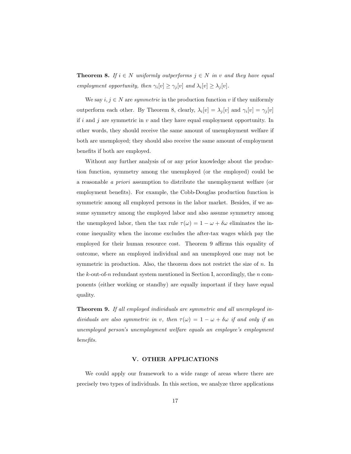**Theorem 8.** *If*  $i \in N$  *uniformly outperforms*  $j \in N$  *in* v *and they have equal employment opportunity, then*  $\gamma_i[v] \geq \gamma_j[v]$  *and*  $\lambda_i[v] \geq \lambda_j[v]$ *.* 

We say  $i, j \in N$  are *symmetric* in the production function v if they uniformly outperform each other. By Theorem 8, clearly,  $\lambda_i[v] = \lambda_j[v]$  and  $\gamma_i[v] = \gamma_j[v]$ if  $i$  and  $j$  are symmetric in  $v$  and they have equal employment opportunity. In other words, they should receive the same amount of unemployment welfare if both are unemployed; they should also receive the same amount of employment benefits if both are employed.

Without any further analysis of or any prior knowledge about the production function, symmetry among the unemployed (or the employed) could be a reasonable *a priori* assumption to distribute the unemployment welfare (or employment benefits). For example, the Cobb-Douglas production function is symmetric among all employed persons in the labor market. Besides, if we assume symmetry among the employed labor and also assume symmetry among the unemployed labor, then the tax rule  $\tau(\omega) = 1 - \omega + \delta \omega$  eliminates the income inequality when the income excludes the after-tax wages which pay the employed for their human resource cost. Theorem 9 affirms this equality of outcome, where an employed individual and an unemployed one may not be symmetric in production. Also, the theorem does not restrict the size of n. In the k-out-of-n redundant system mentioned in Section I, accordingly, the n components (either working or standby) are equally important if they have equal quality.

Theorem 9. *If all employed individuals are symmetric and all unemployed individuals are also symmetric in* v, then  $\tau(\omega) = 1 - \omega + \delta \omega$  *if and only if an unemployed person's unemployment welfare equals an employee's employment benefits.*

# V. OTHER APPLICATIONS

We could apply our framework to a wide range of areas where there are precisely two types of individuals. In this section, we analyze three applications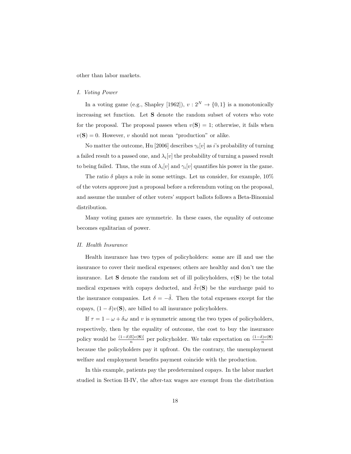other than labor markets.

#### *I. Voting Power*

In a voting game (e.g., Shapley [1962]),  $v: 2^N \to \{0, 1\}$  is a monotonically increasing set function. Let S denote the random subset of voters who vote for the proposal. The proposal passes when  $v(S) = 1$ ; otherwise, it fails when  $v(\mathbf{S}) = 0$ . However, v should not mean "production" or alike.

No matter the outcome, Hu [2006] describes  $\gamma_i[v]$  as *i*'s probability of turning a failed result to a passed one, and  $\lambda_i[v]$  the probability of turning a passed result to being failed. Thus, the sum of  $\lambda_i[v]$  and  $\gamma_i[v]$  quantifies his power in the game.

The ratio  $\delta$  plays a role in some settings. Let us consider, for example,  $10\%$ of the voters approve just a proposal before a referendum voting on the proposal, and assume the number of other voters' support ballots follows a Beta-Binomial distribution.

Many voting games are symmetric. In these cases, the equality of outcome becomes egalitarian of power.

#### *II. Health Insurance*

Health insurance has two types of policyholders: some are ill and use the insurance to cover their medical expenses; others are healthy and don't use the insurance. Let **S** denote the random set of ill policyholders,  $v(S)$  be the total medical expenses with copays deducted, and  $\tilde{\delta}v(S)$  be the surcharge paid to the insurance companies. Let  $\delta = -\tilde{\delta}$ . Then the total expenses except for the copays,  $(1 - \delta)v(\mathbf{S})$ , are billed to all insurance policyholders.

If  $\tau = 1 - \omega + \delta \omega$  and v is symmetric among the two types of policyholders, respectively, then by the equality of outcome, the cost to buy the insurance policy would be  $\frac{(1-\delta)\mathbb{E}[v(\mathbf{S})]}{n}$  per policyholder. We take expectation on  $\frac{(1-\delta)v(\mathbf{S})}{n}$ because the policyholders pay it upfront. On the contrary, the unemployment welfare and employment benefits payment coincide with the production.

In this example, patients pay the predetermined copays. In the labor market studied in Section II-IV, the after-tax wages are exempt from the distribution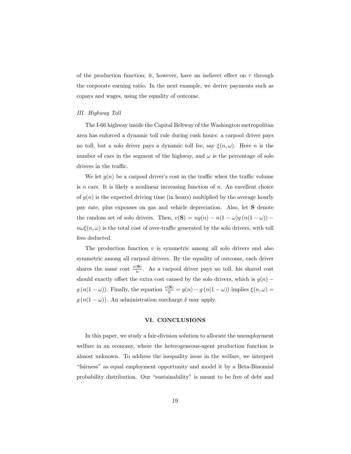of the production function; it, however, have an indirect effect on  $\tau$  through the corporate earning ratio. In the next example, we derive payments such as copays and wages, using the equality of outcome.

#### *III. Highway Toll*

The I-66 highway inside the Capital Beltway of the Washington metropolitan area has enforced a dynamic toll rule during rush hours: a carpool driver pays no toll, but a solo driver pays a dynamic toll fee, say  $\xi(n,\omega)$ . Here *n* is the number of cars in the segment of the highway, and  $\omega$  is the percentage of solo drivers in the traffic.

We let  $g(n)$  be a carpool driver's cost in the traffic when the traffic volume is  $n$  cars. It is likely a nonlinear increasing function of  $n$ . An excellent choice of  $g(n)$  is the expected driving time (in hours) multiplied by the average hourly pay rate, plus expenses on gas and vehicle depreciation. Also, let S denote the random set of solo drivers. Then,  $v(S) = ng(n) - n(1 - \omega)g(n(1 - \omega))$  –  $n\omega\xi(n,\omega)$  is the total cost of over-traffic generated by the solo drivers, with toll fees deducted.

The production function  $v$  is symmetric among all solo drivers and also symmetric among all carpool drivers. By the equality of outcome, each driver shares the same cost  $\frac{v(S)}{n}$ . As a carpool driver pays no toll, his shared cost should exactly offset the extra cost caused by the solo drivers, which is  $g(n)$  −  $g(n(1 - \omega))$ . Finally, the equation  $\frac{v(S)}{n} = g(n) - g(n(1 - \omega))$  implies  $\xi(n, \omega) =$  $g(n(1 - \omega))$ . An administration surcharge  $\delta$  may apply.

#### VI. CONCLUSIONS

In this paper, we study a fair-division solution to allocate the unemployment welfare in an economy, where the heterogeneous-agent production function is almost unknown. To address the inequality issue in the welfare, we interpret "fairness" as equal employment opportunity and model it by a Beta-Binomial probability distribution. Our "sustainability" is meant to be free of debt and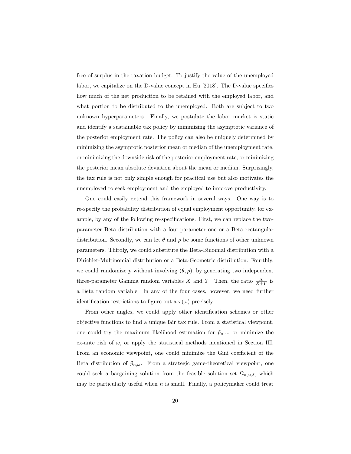free of surplus in the taxation budget. To justify the value of the unemployed labor, we capitalize on the D-value concept in Hu [2018]. The D-value specifies how much of the net production to be retained with the employed labor, and what portion to be distributed to the unemployed. Both are subject to two unknown hyperparameters. Finally, we postulate the labor market is static and identify a sustainable tax policy by minimizing the asymptotic variance of the posterior employment rate. The policy can also be uniquely determined by minimizing the asymptotic posterior mean or median of the unemployment rate, or minimizing the downside risk of the posterior employment rate, or minimizing the posterior mean absolute deviation about the mean or median. Surprisingly, the tax rule is not only simple enough for practical use but also motivates the unemployed to seek employment and the employed to improve productivity.

One could easily extend this framework in several ways. One way is to re-specify the probability distribution of equal employment opportunity, for example, by any of the following re-specifications. First, we can replace the twoparameter Beta distribution with a four-parameter one or a Beta rectangular distribution. Secondly, we can let  $\theta$  and  $\rho$  be some functions of other unknown parameters. Thirdly, we could substitute the Beta-Binomial distribution with a Dirichlet-Multinomial distribution or a Beta-Geometric distribution. Fourthly, we could randomize p without involving  $(\theta, \rho)$ , by generating two independent three-parameter Gamma random variables X and Y. Then, the ratio  $\frac{X}{X+Y}$  is a Beta random variable. In any of the four cases, however, we need further identification restrictions to figure out a  $\tau(\omega)$  precisely.

From other angles, we could apply other identification schemes or other objective functions to find a unique fair tax rule. From a statistical viewpoint, one could try the maximum likelihood estimation for  $\tilde{p}_{n,\omega}$ , or minimize the ex-ante risk of  $\omega$ , or apply the statistical methods mentioned in Section III. From an economic viewpoint, one could minimize the Gini coefficient of the Beta distribution of  $\tilde{p}_{n,\omega}$ . From a strategic game-theoretical viewpoint, one could seek a bargaining solution from the feasible solution set  $\Omega_{n,\omega,\delta}$ , which may be particularly useful when  $n$  is small. Finally, a policymaker could treat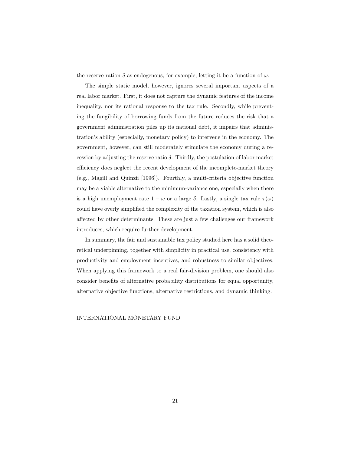the reserve ration  $\delta$  as endogenous, for example, letting it be a function of  $\omega$ .

The simple static model, however, ignores several important aspects of a real labor market. First, it does not capture the dynamic features of the income inequality, nor its rational response to the tax rule. Secondly, while preventing the fungibility of borrowing funds from the future reduces the risk that a government administration piles up its national debt, it impairs that administration's ability (especially, monetary policy) to intervene in the economy. The government, however, can still moderately stimulate the economy during a recession by adjusting the reserve ratio  $\delta$ . Thirdly, the postulation of labor market efficiency does neglect the recent development of the incomplete-market theory (e.g., Magill and Quinzii [1996]). Fourthly, a multi-criteria objective function may be a viable alternative to the minimum-variance one, especially when there is a high unemployment rate  $1 - \omega$  or a large  $\delta$ . Lastly, a single tax rule  $\tau(\omega)$ could have overly simplified the complexity of the taxation system, which is also affected by other determinants. These are just a few challenges our framework introduces, which require further development.

In summary, the fair and sustainable tax policy studied here has a solid theoretical underpinning, together with simplicity in practical use, consistency with productivity and employment incentives, and robustness to similar objectives. When applying this framework to a real fair-division problem, one should also consider benefits of alternative probability distributions for equal opportunity, alternative objective functions, alternative restrictions, and dynamic thinking.

# INTERNATIONAL MONETARY FUND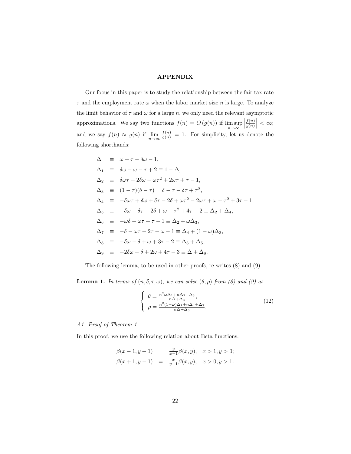### APPENDIX

Our focus in this paper is to study the relationship between the fair tax rate  $\tau$  and the employment rate  $\omega$  when the labor market size *n* is large. To analyze the limit behavior of  $\tau$  and  $\omega$  for a large n, we only need the relevant asymptotic approximations. We say two functions  $f(n) = O(g(n))$  if lim sup  $n\rightarrow\infty$  $\begin{array}{c} \begin{array}{c} \begin{array}{c} \end{array} \\ \begin{array}{c} \end{array} \end{array} \end{array}$  $f(n)$  $\left|\frac{f(n)}{g(n)}\right| < \infty;$ and we say  $f(n) \approx g(n)$  if  $\lim_{n \to \infty} \frac{f(n)}{g(n)} = 1$ . For simplicity, let us denote the following shorthands:

$$
\Delta \equiv \omega + \tau - \delta\omega - 1,
$$
  
\n
$$
\Delta_1 \equiv \delta\omega - \omega - \tau + 2 \equiv 1 - \Delta,
$$
  
\n
$$
\Delta_2 \equiv \delta\omega\tau - 2\delta\omega - \omega\tau^2 + 2\omega\tau + \tau - 1,
$$
  
\n
$$
\Delta_3 \equiv (1 - \tau)(\delta - \tau) = \delta - \tau - \delta\tau + \tau^2,
$$
  
\n
$$
\Delta_4 \equiv -\delta\omega\tau + \delta\omega + \delta\tau - 2\delta + \omega\tau^2 - 2\omega\tau + \omega - \tau^2 + 3\tau - 1,
$$
  
\n
$$
\Delta_5 \equiv -\delta\omega + \delta\tau - 2\delta + \omega - \tau^2 + 4\tau - 2 \equiv \Delta_2 + \Delta_4,
$$
  
\n
$$
\Delta_6 \equiv -\omega\delta + \omega\tau + \tau - 1 \equiv \Delta_2 + \omega\Delta_3,
$$
  
\n
$$
\Delta_7 \equiv -\delta - \omega\tau + 2\tau + \omega - 1 \equiv \Delta_4 + (1 - \omega)\Delta_3,
$$
  
\n
$$
\Delta_8 \equiv -\delta\omega - \delta + \omega + 3\tau - 2 \equiv \Delta_3 + \Delta_5,
$$
  
\n
$$
\Delta_9 \equiv -2\delta\omega - \delta + 2\omega + 4\tau - 3 \equiv \Delta + \Delta_8.
$$

The following lemma, to be used in other proofs, re-writes (8) and (9).

**Lemma 1.** *In terms of*  $(n, \delta, \tau, \omega)$ *, we can solve*  $(\theta, \rho)$  *from*  $(\delta)$  *and*  $(\theta)$  *as* 

$$
\begin{cases}\n\theta = \frac{n^2 \omega \Delta_1 + n \Delta_2 + \Delta_3}{n \Delta + \Delta_3}, \\
\rho = \frac{n^2 (1 - \omega) \Delta_1 + n \Delta_4 + \Delta_3}{n \Delta + \Delta_3}.\n\end{cases}
$$
\n(12)

*A1. Proof of Theorem 1*

In this proof, we use the following relation about Beta functions:

$$
\begin{array}{rcl}\n\beta(x-1,y+1) & = & \frac{y}{x-1}\beta(x,y), \quad x>1,y>0; \\
\beta(x+1,y-1) & = & \frac{x}{y-1}\beta(x,y), \quad x>0,y>1.\n\end{array}
$$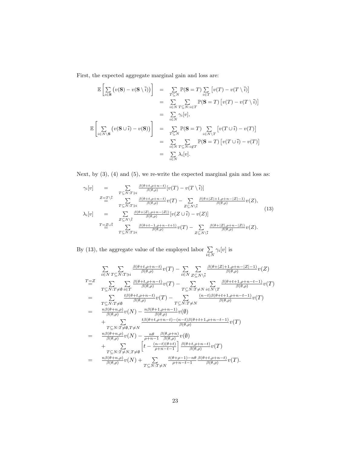First, the expected aggregate marginal gain and loss are:

$$
\mathbb{E}\left[\sum_{i\in\mathbf{S}}\left(v(\mathbf{S})-v(\mathbf{S}\setminus\overline{i})\right)\right] = \sum_{T\subseteq N}\mathbb{P}(\mathbf{S}=T)\sum_{i\in T}\left[v(T)-v(T\setminus\overline{i})\right]
$$
  
\n
$$
= \sum_{i\in N}\sum_{T\subseteq N:\overline{i}\in T}\mathbb{P}(\mathbf{S}=T)\left[v(T)-v(T\setminus\overline{i})\right]
$$
  
\n
$$
= \sum_{i\in N}\gamma_i[v],
$$
  
\n
$$
\mathbb{E}\left[\sum_{i\in N\setminus\mathbf{S}}\left(v(\mathbf{S}\cup\overline{i})-v(\mathbf{S})\right)\right] = \sum_{T\subseteq N}\mathbb{P}(\mathbf{S}=T)\sum_{i\in N\setminus T}\left[v(T\cup\overline{i})-v(T)\right]
$$
  
\n
$$
= \sum_{i\in N}\sum_{T\subseteq N:\overline{i}\notin T}\mathbb{P}(\mathbf{S}=T)\left[v(T\cup\overline{i})-v(T)\right]
$$
  
\n
$$
= \sum_{i\in N}\lambda_i[v].
$$

Next, by  $(3)$ ,  $(4)$  and  $(5)$ , we re-write the expected marginal gain and loss as:

$$
\gamma_i[v] = \sum_{T \subseteq N: T \ni i} \frac{\beta(\theta + t, \rho + n - t)}{\beta(\theta, \rho)} [v(T) - v(T \setminus \overline{i})]
$$
\n
$$
z_{\frac{T}{\overline{a}}} \sum_{T \subseteq N: T \ni i} \frac{\beta(\theta + t, \rho + n - t)}{\beta(\theta, \rho)} v(T) - \sum_{Z \subseteq N \setminus \overline{i}} \frac{\beta(\theta + |Z| + 1, \rho + n - |Z| - 1)}{\beta(\theta, \rho)} v(Z),
$$
\n
$$
\lambda_i[v] = \sum_{Z \subseteq N \setminus \overline{i}} \frac{\beta(\theta + |Z|, \rho + n - |Z|)}{\beta(\theta, \rho)} [v(Z \cup \overline{i}) - v(Z)]
$$
\n
$$
T_{\frac{T}{\overline{a}}} \sum_{T \subseteq N: T \ni i} \frac{\beta(\theta + t - 1, \rho + n - t + 1)}{\beta(\theta, \rho)} v(T) - \sum_{Z \subseteq N \setminus \overline{i}} \frac{\beta(\theta + |Z|, \rho + n - |Z|)}{\beta(\theta, \rho)} v(Z).
$$
\n(13)

By (13), the aggregate value of the employed labor  $\Sigma$  $i \in N$  $\gamma_i[v]$  is

$$
\sum_{i \in N} \sum_{T \subseteq N:T \ni i} \frac{\beta(\theta + t, \rho + n - t)}{\beta(\theta, \rho)} v(T) - \sum_{i \in N} \sum_{Z \subseteq N \setminus i} \frac{\beta(\theta + |Z| + 1, \rho + n - |Z| - 1)}{\beta(\theta, \rho)} v(Z)
$$
\n
$$
T \equiv Z \sum_{T \subseteq N:T \neq \emptyset} \sum_{i \in T} \frac{\beta(\theta + t, \rho + n - t)}{\beta(\theta, \rho)} v(T) - \sum_{T \subseteq N:T \neq N} \sum_{i \in N \setminus T} \frac{\beta(\theta + t + 1, \rho + n - t - 1)}{\beta(\theta, \rho)} v(T)
$$
\n
$$
= \sum_{T \subseteq N:T \neq \emptyset} \frac{t\beta(\theta + t, \rho + n - t)}{\beta(\theta, \rho)} v(T) - \sum_{T \subseteq N:T \neq N} \frac{(n - t)\beta(\theta + t + 1, \rho + n - t - 1)}{\beta(\theta, \rho)} v(T)
$$
\n
$$
+ \sum_{\substack{n \in N(T \neq \emptyset, T \neq N) \\ \beta(\theta, \rho)}} \frac{t\beta(\theta + 1, \rho + n - 1)}{\beta(\theta, \rho)} v(\emptyset)
$$
\n
$$
+ \sum_{\substack{T \subseteq N:T \neq \emptyset, T \neq N \\ \beta(\theta, \rho)}} \frac{t\beta(\theta + t, \rho + n - t) - (n - t)\beta(\theta + t + 1, \rho + n - t - 1)}{\beta(\theta, \rho)} v(\emptyset)
$$
\n
$$
+ \sum_{\substack{T \subseteq N:T \neq N, T \neq \emptyset \\ \beta(\theta, \rho)}} \left[ t - \frac{(n - t)(\theta + t)}{\beta(\theta, \rho)} \frac{\beta(\theta + t, \rho + n - t)}{\beta(\theta, \rho)} v(T) \right]
$$
\n
$$
= \frac{n\beta(\theta + n, \rho)}{\beta(\theta, \rho)} v(N) + \sum_{T \subseteq N:T \neq N} \frac{t(\theta + \rho - 1) - n\theta}{\beta(\theta, \rho)} \frac{\beta(\theta + t, \rho + n - t)}{\beta(\theta, \rho)} v(T).
$$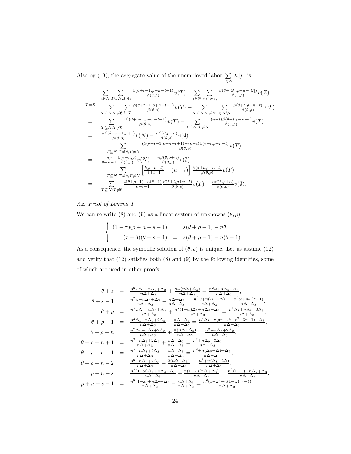Also by (13), the aggregate value of the unemployed labor  $\Sigma$  $i \in N$  $\lambda_i[v]$  is

$$
\sum_{i \in N} \sum_{T \subseteq N:T \ni} \frac{\beta(\theta + t - 1, \rho + n - t + 1)}{\beta(\theta, \rho)} v(T) - \sum_{i \in N} \sum_{Z \subseteq N \setminus \tilde{i}} \frac{\beta(\theta + |Z|, \rho + n - |Z|)}{\beta(\theta, \rho)} v(Z)
$$
\n
$$
T \equiv Z \sum_{T \subseteq N:T \neq \emptyset} \sum_{i \in T} \frac{\beta(\theta + t - 1, \rho + n - t + 1)}{\beta(\theta, \rho)} v(T) - \sum_{T \subseteq N:T \neq N} \sum_{i \in N \setminus T} \frac{\beta(\theta + t, \rho + n - t)}{\beta(\theta, \rho)} v(T)
$$
\n
$$
= \sum_{T \subseteq N:T \neq \emptyset} \frac{t\beta(\theta + t - 1, \rho + n - t + 1)}{\beta(\theta, \rho)} v(T) - \sum_{T \subseteq N:T \neq N} \frac{(n - t)\beta(\theta + t, \rho + n - t)}{\beta(\theta, \rho)} v(T)
$$
\n
$$
+ \sum_{\substack{n \beta(\theta + n - 1, \rho + 1) \\ \beta(\theta, \rho)}} v(N) - \frac{n\beta(\theta, \rho + n)}{\beta(\theta, \rho)} v(\emptyset)
$$
\n
$$
+ \sum_{\substack{n \beta \in N:T \neq \emptyset \\ \beta + n - 1}} \frac{t\beta(\theta + t - 1, \rho + n - t + 1) - (n - t)\beta(\theta + t, \rho + n - t)}{\beta(\theta, \rho)} v(T)
$$
\n
$$
+ \sum_{\substack{n \gamma \in N:T \neq \emptyset \\ \gamma \subseteq N:T \neq \emptyset}} \frac{t(\theta + n, \rho)}{\beta(\theta, \rho)} v(N) - \frac{n\beta(\theta, \rho + n)}{\beta(\theta, \rho)} v(\emptyset)
$$
\n
$$
+ \sum_{\substack{T \subseteq N:T \neq \emptyset \\ \beta(\theta, \rho) = t - 1}} \frac{t(\theta + n - t) - n(\theta - 1)}{\beta(\theta, \rho)} \frac{\beta(\theta + t, \rho + n - t)}{\beta(\theta, \rho)} v(T) - \frac{n\beta(\theta, \rho + n)}{\beta(\theta, \rho)} v(\emptyset).
$$

# *A2. Proof of Lemma 1*

We can re-write (8) and (9) as a linear system of unknowns  $(\theta, \rho)$ :

$$
\begin{cases}\n(1-\tau)(\rho+n-s-1) &= s(\theta+\rho-1)-n\theta, \\
(\tau-\delta)(\theta+s-1) &= s(\theta+\rho-1)-n(\theta-1).\n\end{cases}
$$

As a consequence, the symbolic solution of  $(\theta, \rho)$  is unique. Let us assume (12) and verify that (12) satisfies both (8) and (9) by the following identities, some of which are used in other proofs:

$$
\begin{array}{rcl} \theta+s&=&\frac{n^2\omega\Delta_1+n\Delta_2+\Delta_3}{n\Delta+\Delta_3}+\frac{n\omega(n\Delta+\Delta_3)}{n\Delta+\Delta_3}=\frac{n^2\omega+n\Delta_6+\Delta_3}{n\Delta+\Delta_3},\\ \theta+s-1&=&\frac{n^2\omega+n\Delta_6+\Delta_3}{n\Delta+\Delta_3}-\frac{n\Delta+\Delta_3}{n\Delta+\Delta_3}=\frac{n^2\omega+n(\Delta_6-\Delta)}{n\Delta+\Delta_3}=\frac{n^2\omega+n\omega(\tau-1)}{n\Delta+\Delta_3},\\ \theta+\rho&=&\frac{n^2\omega\Delta_1+n\Delta_2+\Delta_3}{n\Delta+\Delta_3}+\frac{n^2(1-\omega)\Delta_1+n\Delta_4+\Delta_3}{n\Delta+\Delta_3}=\frac{n^2\Delta_1+n\Delta_5+2\Delta_3}{n\Delta+\Delta_3},\\ \theta+\rho-1&=&\frac{n^2\Delta_1+n\Delta_5+2\Delta_3}{n\Delta+\Delta_3}-\frac{n\Delta+\Delta_3}{n\Delta+\Delta_3}=\frac{n^2\Delta_1+n(\delta\tau-2\delta-\tau^2+3\tau-1)+\Delta_3}{n\Delta+\Delta_3},\\ \theta+\rho+n&=&\frac{n^2\Delta_1+n\Delta_5+2\Delta_3}{n\Delta+\Delta_3}+\frac{n(n\Delta+\Delta_3)}{n\Delta+\Delta_3}=\frac{n^2+n\Delta_8+2\Delta_3}{n\Delta+\Delta_3},\\ \theta+\rho+n+1&=&\frac{n^2+n\Delta_8+2\Delta_3}{n\Delta+\Delta_3}+\frac{n\Delta+\Delta_3}{n\Delta+\Delta_3}=\frac{n^2+n\Delta_9+3\Delta_3}{n\Delta+\Delta_3},\\ \theta+\rho+n-1&=&\frac{n^2+n\Delta_8+2\Delta_3}{n\Delta+\Delta_3}-\frac{n\Delta+\Delta_3}{n\Delta+\Delta_3}=\frac{n^2+n(\Delta_8-\Delta)+\Delta_3}{n\Delta+\Delta_3},\\ \theta+\rho+n-2&=&\frac{n^2+n\Delta_8+2\Delta_3}{n\Delta+\Delta_3}-\frac{2(n\Delta+\Delta_3)}{n\Delta+\Delta_3}=\frac{n^2+n(\Delta_8-2\Delta)}{n\Delta+\Delta_3},\\ \rho+n-s&=&\frac{n^2(1-\omega)\Delta_1+n\Delta_4+\Delta_3}{n\Delta+\Delta_3}+\frac{n(1-\omega)(n\Delta+\Delta_3)}{n\Delta+\
$$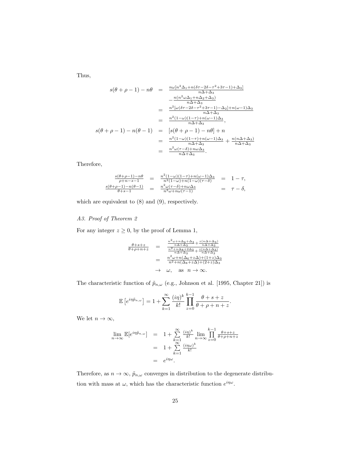Thus,

$$
s(\theta + \rho - 1) - n\theta = \frac{n\omega[n^2\Delta_1 + n(\delta\tau - 2\delta - \tau^2 + 3\tau - 1) + \Delta_3]}{n\Delta + \Delta_3}
$$
  
\n
$$
- \frac{n(n^2\omega\Delta_1 + n\Delta_2 + \Delta_3)}{n\Delta + \Delta_3}
$$
  
\n
$$
= \frac{n^2[\omega(\delta\tau - 2\delta - \tau^2 + 3\tau - 1) - \Delta_2] + n(\omega - 1)\Delta_3}{n\Delta + \Delta_3}
$$
  
\n
$$
= \frac{n^2(1-\omega)(1-\tau) + n(\omega - 1)\Delta_3}{n\Delta + \Delta_3},
$$
  
\n
$$
s(\theta + \rho - 1) - n(\theta - 1) = [s(\theta + \rho - 1) - n\theta] + n
$$
  
\n
$$
= \frac{n^2(1-\omega)(1-\tau) + n(\omega - 1)\Delta_3}{n\Delta + \Delta_3} + \frac{n(n\Delta + \Delta_3)}{n\Delta + \Delta_3}
$$
  
\n
$$
= \frac{n^2\omega(\tau - \delta) + n\omega\Delta_3}{n\Delta + \Delta_3}.
$$

Therefore,

$$
\frac{s(\theta+\rho-1)-n\theta}{\rho+n-s-1} = \frac{n^2(1-\omega)(1-\tau)+n(\omega-1)\Delta_3}{n^2(1-\omega)+n(1-\omega)(\tau-\delta)} = 1-\tau,
$$
  

$$
\frac{s(\theta+\rho-1)-n(\theta-1)}{\theta+s-1} = \frac{n^2\omega(\tau-\delta)+n\omega\Delta_3}{n^2\omega+n\omega(\tau-1)} = \tau-\delta,
$$

which are equivalent to (8) and (9), respectively.

*A3. Proof of Theorem 2*

For any integer  $z \geq 0$ , by the proof of Lemma 1,

$$
\frac{\theta+s+z}{\theta+\rho+n+z} = \frac{\frac{n^2\omega+n\Delta_6+\Delta_3}{n\Delta+\Delta_3} + \frac{z(n\Delta+\Delta_3)}{n\Delta+\Delta_3}}{\frac{n^2+n\Delta_8+2\Delta_3}{n\Delta+\Delta_3} + \frac{z(n\Delta+\Delta_3)}{n\Delta+\Delta_3}}
$$

$$
= \frac{n^2\omega+n(\Delta_6+z\Delta)+(1+z)\Delta_3}{n^2+n(\Delta_8+z\Delta)+(2+z)\Delta_3}
$$

$$
\rightarrow \omega, \text{ as } n \rightarrow \infty.
$$

The characteristic function of  $\tilde{p}_{n,\omega}$  (e.g., Johnson et al. [1995, Chapter 21]) is

$$
\mathbb{E}\left[e^{i\eta\tilde{p}_{n,\omega}}\right] = 1 + \sum_{k=1}^{\infty} \frac{(i\eta)^k}{k!} \prod_{z=0}^{k-1} \frac{\theta + s + z}{\theta + \rho + n + z}.
$$

We let  $n \to \infty$ ,

$$
\lim_{n \to \infty} \mathbb{E}[e^{i\eta \tilde{p}_{n,\omega}}] = 1 + \sum_{k=1}^{\infty} \frac{(i\eta)^k}{k!} \lim_{n \to \infty} \prod_{z=0}^{k-1} \frac{\theta + s + z}{\theta + \rho + n + z}
$$

$$
= 1 + \sum_{k=1}^{\infty} \frac{(i\eta\omega)^k}{k!}
$$

$$
= e^{i\eta\omega}.
$$

Therefore, as  $n\to\infty,$   $\tilde{p}_{n,\omega}$  converges in distribution to the degenerate distribution with mass at  $\omega$ , which has the characteristic function  $e^{i\eta\omega}$ .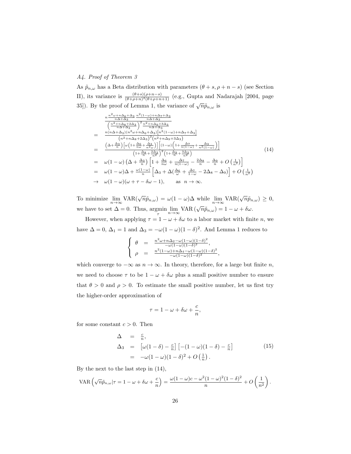#### *A4. Proof of Theorem 3*

As  $\tilde{p}_{n,\omega}$  has a Beta distribution with parameters  $(\theta + s, \rho + n - s)$  (see Section II), its variance is  $\frac{(\theta+s)(\rho+n-s)}{(\theta+\rho+n)^2(\theta+\rho+n+1)}$  (e.g., Gupta and Nadarajah [2004, page 35]). By the proof of Lemma 1, the variance of  $\sqrt{n}\tilde{p}_{n,\omega}$  is

$$
\frac{n^{\frac{n^2\omega+n\Delta_6+\Delta_3}{n\Delta+\Delta_3} \frac{n^2(1-\omega)+n\Delta_7+\Delta_3}{n\Delta+\Delta_3}}}{\left(\frac{n^2+n\Delta_8+2\Delta_3}{n\Delta+\Delta_3}\right)^2 \frac{n^2+n\Delta_9+3\Delta_3}{n\Delta+\Delta_3}} \newline = \frac{n(n\Delta+\Delta_3)(n^2\omega+n\Delta_6+\Delta_3)[n^2(1-\omega)+n\Delta_7+\Delta_3]}{(n^2+n\Delta_8+2\Delta_3)^2(n^2+n\Delta_9+3\Delta_3)} \newline = \frac{\left(\Delta+\frac{\Delta_3}{n}\right)\left[\omega\left(1+\frac{\Delta_6}{n\omega}+\frac{\Delta_3}{n^2\omega}\right)\right]\left[(1-\omega)\left(1+\frac{\Delta_7}{n(1-\omega)}+\frac{\Delta_3}{n^2(1-\omega)}\right)\right]}{\left(1+\frac{\Delta_8}{n}+\frac{2\Delta_3}{n^2}\right)^2\left(1+\frac{\Delta_9}{n}+\frac{3\Delta_3}{n^2}\right)} \newline = \omega(1-\omega)\left(\Delta+\frac{\Delta_3}{n}\right)\left[1+\frac{\Delta_6}{n\omega}+\frac{\Delta_7}{n(1-\omega)}-\frac{2\Delta_8}{n}-\frac{\Delta_9}{n}+O\left(\frac{1}{n^2}\right)\right] \newline = \omega(1-\omega)\Delta+\frac{\omega(1-\omega)}{n}\left[\Delta_3+\Delta(\frac{\Delta_6}{\omega}+\frac{\Delta_7}{1-\omega}-2\Delta_8-\Delta_9)\right]+O\left(\frac{1}{n^2}\right) \newline \rightarrow \omega(1-\omega)(\omega+\tau-\delta\omega-1), \text{ as } n\to\infty.
$$
\n(1)

To minimize  $\lim_{n\to\infty} \text{VAR}(\sqrt{n}\tilde{p}_{n,\omega}) = \omega(1-\omega)\Delta$  while  $\lim_{n\to\infty} \text{VAR}(\sqrt{n}\tilde{p}_{n,\omega}) \geq 0$ , we have to set  $\Delta = 0$ . Thus,  $\operatorname*{argmin}_{\tau} \lim_{n \to \infty} \text{VAR}(\sqrt{n}\tilde{p}_{n,\omega}) = 1 - \omega + \delta \omega$ .

However, when applying  $\tau = 1 - \omega + \delta \omega$  to a labor market with finite *n*, we have  $\Delta = 0$ ,  $\Delta_1 = 1$  and  $\Delta_3 = -\omega(1 - \omega)(1 - \delta)^2$ . And Lemma 1 reduces to

$$
\begin{cases}\n\theta = \frac{n^2\omega + n\Delta_2 - \omega(1-\omega)(1-\delta)^2}{-\omega(1-\omega)(1-\delta)^2},\\ \n\rho = \frac{n^2(1-\omega) + n\Delta_4 - \omega(1-\omega)(1-\delta)^2}{-\omega(1-\omega)(1-\delta)^2},\n\end{cases}
$$

which converge to  $-\infty$  as  $n \to \infty$ . In theory, therefore, for a large but finite n, we need to choose  $\tau$  to be  $1 - \omega + \delta \omega$  plus a small positive number to ensure that  $\theta > 0$  and  $\rho > 0$ . To estimate the small positive number, let us first try the higher-order approximation of

$$
\tau=1-\omega+\delta\omega+\frac{c}{n},
$$

for some constant  $c > 0$ . Then

$$
\Delta = \frac{c}{n},
$$
\n
$$
\Delta_3 = [\omega(1-\delta) - \frac{c}{n}] [- (1-\omega)(1-\delta) - \frac{c}{n}]
$$
\n
$$
= -\omega(1-\omega)(1-\delta)^2 + O\left(\frac{1}{n}\right).
$$
\n(15)

By the next to the last step in (14),

$$
\text{VAR}\left(\sqrt{n}\tilde{p}_{n,\omega}\big|\tau=1-\omega+\delta\omega+\frac{c}{n}\right)=\frac{\omega(1-\omega)c-\omega^2(1-\omega)^2(1-\delta)^2}{n}+O\left(\frac{1}{n^2}\right).
$$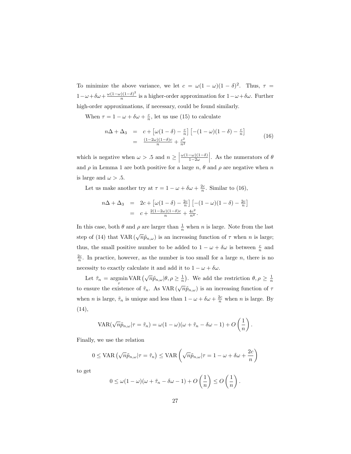To minimize the above variance, we let  $c = \omega(1 - \omega)(1 - \delta)^2$ . Thus,  $\tau =$  $1 - \omega + \delta \omega + \frac{\omega (1 - \omega)(1 - \delta)^2}{n}$  $\frac{\partial (1-\delta)}{\partial n}$  is a higher-order approximation for  $1-\omega+\delta\omega$ . Further high-order approximations, if necessary, could be found similarly.

When  $\tau = 1 - \omega + \delta \omega + \frac{c}{n}$ , let us use (15) to calculate

$$
n\Delta + \Delta_3 = c + \left[\omega(1-\delta) - \frac{c}{n}\right] \left[-(1-\omega)(1-\delta) - \frac{c}{n}\right]
$$
  
= 
$$
\frac{(1-2\omega)(1-\delta)c}{n} + \frac{c^2}{n^2}
$$
 (16)

which is negative when  $\omega > .5$  and  $n \geq \left| \right|$  $\frac{\omega(1-\omega)(1-\delta)}{2}$  $1-2\omega$ . As the numerators of  $\theta$ and  $\rho$  in Lemma 1 are both positive for a large n,  $\theta$  and  $\rho$  are negative when n is large and  $\omega > .5$ .

Let us make another try at  $\tau = 1 - \omega + \delta \omega + \frac{2c}{n}$ . Similar to (16),

$$
n\Delta + \Delta_3 = 2c + \left[\omega(1-\delta) - \frac{2c}{n}\right] \left[-(1-\omega)(1-\delta) - \frac{2c}{n}\right]
$$
  
=  $c + \frac{2(1-2\omega)(1-\delta)c}{n} + \frac{4c^2}{n^2}$ .

In this case, both  $\theta$  and  $\rho$  are larger than  $\frac{1}{n}$  when n is large. Note from the last step of (14) that VAR ( $\sqrt{n}\tilde{p}_{n,\omega}$ ) is an increasing function of  $\tau$  when n is large; thus, the small positive number to be added to  $1 - \omega + \delta \omega$  is between  $\frac{c}{n}$  and  $\frac{2c}{n}$ . In practice, however, as the number is too small for a large *n*, there is no necessity to exactly calculate it and add it to  $1 - \omega + \delta \omega$ .

Let  $\tilde{\tau}_n = \operatorname{argmin}_{\lambda} \text{VAR}(\sqrt{n} \tilde{p}_{n,\omega} | \theta, \rho \ge \frac{1}{n}).$  We add the restriction  $\theta, \rho \ge \frac{1}{n}$ to ensure the existence of  $\tilde{\tau}_n$ . As VAR  $(\sqrt{n}\tilde{p}_{n,\omega})$  is an increasing function of  $\tau$ when *n* is large,  $\tilde{\tau}_n$  is unique and less than  $1 - \omega + \delta \omega + \frac{2c}{n}$  when *n* is large. By (14),

$$
VAR(\sqrt{n}\tilde{p}_{n,\omega}|\tau = \tilde{\tau}_n) = \omega(1-\omega)(\omega + \tilde{\tau}_n - \delta\omega - 1) + O\left(\frac{1}{n}\right).
$$

Finally, we use the relation

$$
0 \leq \text{VAR} \left( \sqrt{n} \tilde{p}_{n,\omega} | \tau = \tilde{\tau}_n \right) \leq \text{VAR} \left( \sqrt{n} \tilde{p}_{n,\omega} | \tau = 1 - \omega + \delta \omega + \frac{2c}{n} \right)
$$

to get

$$
0 \leq \omega(1-\omega)(\omega + \tilde{\tau}_n - \delta\omega - 1) + O\left(\frac{1}{n}\right) \leq O\left(\frac{1}{n}\right).
$$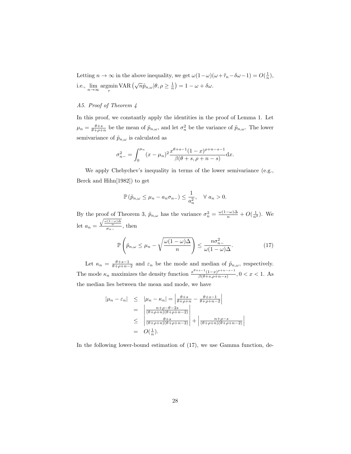Letting  $n \to \infty$  in the above inequality, we get  $\omega(1-\omega)(\omega+\tilde{\tau}_n-\delta\omega-1)=O(\frac{1}{n}),$ i.e.,  $\lim_{n \to \infty} \operatorname*{argmin}_{\tau} \text{VAR} (\sqrt{n} \tilde{p}_{n,\omega} | \theta, \rho \ge \frac{1}{n}) = 1 - \omega + \delta \omega.$ 

# *A5. Proof of Theorem 4*

In this proof, we constantly apply the identities in the proof of Lemma 1. Let  $\mu_n = \frac{\theta + s}{\theta + \rho + n}$  be the mean of  $\tilde{p}_{n,\omega}$ , and let  $\sigma_n^2$  be the variance of  $\tilde{p}_{n,\omega}$ . The lower semivariance of  $\tilde{p}_{n,\omega}$  is calculated as

$$
\sigma_{n-}^2 = \int_0^{\mu_n} (x - \mu_n)^2 \frac{x^{\theta + s - 1} (1 - x)^{\rho + n - s - 1}}{\beta(\theta + s, \rho + n - s)} \mathrm{d}x.
$$

We apply Chebychev's inequality in terms of the lower semivariance (e.g., Berck and Hihn[1982]) to get

$$
\mathbb{P}\left(\tilde{p}_{n,\omega} \leq \mu_n - a_n \sigma_{n-}\right) \leq \frac{1}{a_n^2}, \quad \forall \ a_n > 0.
$$

By the proof of Theorem 3,  $\tilde{p}_{n,\omega}$  has the variance  $\sigma_n^2 = \frac{\omega(1-\omega)\Delta}{n} + O(\frac{1}{n^2})$ . We let  $a_n = \frac{\sqrt{\frac{\omega(1-\omega)\Delta}{n}}}{\sigma_{n-}}$ , then

$$
\mathbb{P}\left(\tilde{p}_{n,\omega} \leq \mu_n - \sqrt{\frac{\omega(1-\omega)\Delta}{n}}\right) \leq \frac{n\sigma_{n-}^2}{\omega(1-\omega)\Delta}.\tag{17}
$$

 $\begin{array}{c} \begin{array}{c} \begin{array}{c} \end{array} \\ \begin{array}{c} \end{array} \end{array} \end{array}$ 

Let  $\kappa_n = \frac{\theta + s - 1}{\theta + \rho + n - 2}$  and  $\varepsilon_n$  be the mode and median of  $\tilde{p}_{n,\omega}$ , respectively. The mode  $\kappa_n$  maximizes the density function  $\frac{x^{\theta+s-1}(1-x)^{\rho+n-s-1}}{\beta(\theta+s,\rho+n-s)}$  $\frac{(1-x)^n}{\beta(\theta+s,\rho+n-s)}, 0 < x < 1.$  As the median lies between the mean and mode, we have

$$
|\mu_n - \varepsilon_n| \leq |\mu_n - \kappa_n| = \left| \frac{\theta + s}{\theta + \rho + n} - \frac{\theta + s - 1}{\theta + \rho + n - 2} \right|
$$
  
= 
$$
\left| \frac{n + \rho - \theta - 2s}{(\theta + \rho + n)(\theta + \rho + n - 2)} \right|
$$
  

$$
\leq \left| \frac{\theta + s}{(\theta + \rho + n)(\theta + \rho + n - 2)} \right| + \left| \frac{n + \rho - s}{(\theta + \rho + n)(\theta + \rho + n - 2)} \right|
$$
  
=  $O(\frac{1}{n}).$ 

In the following lower-bound estimation of  $(17)$ , we use Gamma function, de-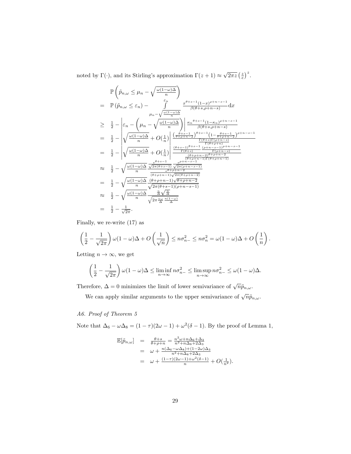noted by  $\Gamma(\cdot)$ , and its Stirling's approximation  $\Gamma(z+1) \approx \sqrt{2\pi z} \left(\frac{z}{e}\right)^z$ .

$$
\mathbb{P}\left(\tilde{p}_{n,\omega} \leq \mu_n - \sqrt{\frac{\omega(1-\omega)\Delta}{n}}\right)
$$
\n
$$
= \mathbb{P}\left(\tilde{p}_{n,\omega} \leq \varepsilon_n\right) - \int_{\mu_n - \sqrt{\frac{\omega(1-\omega)\Delta}{n}}}^{\varepsilon_n} \frac{x^{\theta+s-1}(1-x)^{\rho+n-s-1}}{\beta(\theta+s,\rho+n-s)} dx
$$
\n
$$
\geq \frac{1}{2} - \left|\varepsilon_n - \left(\mu_n - \sqrt{\frac{\omega(1-\omega)\Delta}{n}}\right) \right| \frac{\kappa_n^{\theta+s-1}(1-\kappa_n)^{\rho+n-s-1}}{\beta(\theta+s,\rho+n-s)}
$$
\n
$$
= \frac{1}{2} - \left|\sqrt{\frac{\omega(1-\omega)\Delta}{n}} + O\left(\frac{1}{n}\right)\right| \frac{\left(\frac{\theta+s-1}{\theta+\rho+n-2}\right)^{\theta+s-1}\left(1-\frac{\theta+s-1}{\theta+\rho+n-2}\right)^{\rho+n-s-1}}{\frac{\Gamma(\theta+s)\Gamma(\rho+n-s)}{\Gamma(\theta+\rho+n-1)}}}{\frac{\Gamma(\theta+s)\Gamma(\rho+n-s-1)}{\left(\rho+n-s-1\right)^{\rho+n-s-1}}}
$$
\n
$$
\approx \frac{1}{2} - \sqrt{\frac{\omega(1-\omega)\Delta}{n}} \frac{\frac{e^{\theta+s-1}}{\sqrt{2\pi(\theta+s-1)}} \frac{\frac{e^{\rho+n-1}\Gamma(\theta+s-1)}{\Gamma(\theta+\rho+n-2)} - \frac{e^{\rho+n-2}}{\Gamma(\rho+n-2)}}{\frac{e^{\rho+n-2}}{\rho+n-2}}}{\frac{\rho+n-2}{\rho+n-1}\sqrt{2\pi(\rho+n-2)}}}
$$
\n
$$
= \frac{1}{2} - \sqrt{\frac{\omega(1-\omega)\Delta}{n}} \frac{\frac{e^{\theta+s-1}}{\sqrt{2\pi(\theta+s-1)}\sqrt{2\pi(\rho+n-2)}}}{\sqrt{2\pi(\theta+s-1)(\rho+n-2)}}
$$
\n
$$
\approx \frac{1}{2} - \sqrt{\frac{\omega(1-\omega)\Delta}{n}} \frac{\frac{\Delta}{\sqrt{\Delta}} \frac{\sqrt{\Delta}{\Delta}}}{\sqrt{2\pi \frac{\omega}{\Delta} \frac{n(\Delta-\omega)}{\Delta}}}
$$
\n
$$
= \frac{1}{2} - \frac{1}{\sqrt{2\pi}}.
$$

Finally, we re-write (17) as

$$
\left(\frac{1}{2}-\frac{1}{\sqrt{2\pi}}\right)\omega(1-\omega)\Delta+O\left(\frac{1}{\sqrt{n}}\right)\leq n\sigma_{n-}^2\leq n\sigma_n^2=\omega(1-\omega)\Delta+O\left(\frac{1}{n}\right).
$$

Letting  $n \to \infty$ , we get

$$
\left(\frac{1}{2} - \frac{1}{\sqrt{2\pi}}\right)\omega(1-\omega)\Delta \le \liminf_{n \to \infty} n\sigma_{n-}^2 \le \limsup_{n \to \infty} n\sigma_{n-}^2 \le \omega(1-\omega)\Delta.
$$

Therefore,  $\Delta = 0$  minimizes the limit of lower semivariance of  $\sqrt{n}\tilde{p}_{n,\omega}$ .

We can apply similar arguments to the upper semivariance of  $\sqrt{n}\tilde{p}_{n,\omega}$ .

# *A6. Proof of Theorem 5*

Note that  $\Delta_6 - \omega \Delta_8 = (1 - \tau)(2\omega - 1) + \omega^2(\delta - 1)$ . By the proof of Lemma 1,

$$
\mathbb{E}[\tilde{p}_{n,\omega}] = \frac{\theta+s}{\theta+\rho+n} = \frac{n^2\omega+n\Delta_6+\Delta_3}{n^2+n\Delta_8+2\Delta_3}
$$
  
\n
$$
= \omega + \frac{n(\Delta_6-\omega\Delta_8)+(1-2\omega)\Delta_3}{n^2+n\Delta_8+2\Delta_3}
$$
  
\n
$$
= \omega + \frac{(1-\tau)(2\omega-1)+\omega^2(\delta-1)}{n} + O(\frac{1}{n^2}).
$$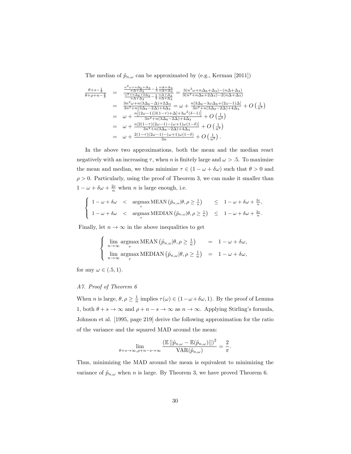The median of  $\tilde{p}_{n,\omega}$  can be approximated by (e.g., Kerman [2011])

$$
\frac{\theta+s-\frac{1}{3}}{\theta+\rho+n-\frac{2}{3}} = \frac{\frac{n^2\omega+n\Delta_6+\Delta_3}{n\Delta+\Delta_3}-\frac{1}{3}\frac{n\Delta+\Delta_3}{n\Delta+\Delta_3}}{\frac{n^2+n\Delta_8+2\Delta_3}{n\Delta+\Delta_3}-\frac{n}{3}\frac{n\Delta+\Delta_3}{n\Delta+\Delta_3}} = \frac{3(n^2\omega+n\Delta_6+\Delta_3)-(n\Delta+\Delta_3)}{3(n^2+n\Delta_8+2\Delta_3)-2(n\Delta+\Delta_3)}
$$
\n
$$
= \frac{3n^2\omega+n(3\Delta_6-\Delta)+2\Delta_3}{3n^2+n(3\Delta_8-2\Delta)+4\Delta_3} = \omega+\frac{n[3\Delta_6-3\omega\Delta_8+(2\omega-1)\Delta]}{3n^2+n(3\Delta_8-2\Delta)+4\Delta_3} + O\left(\frac{1}{n^2}\right)
$$
\n
$$
= \omega+\frac{n[(2\omega-1)[3(1-\tau)+\Delta]+3\omega^2(\delta-1)]}{3n^2+n(3\Delta_8-2\Delta)+4\Delta_3} + O\left(\frac{1}{n^2}\right)
$$
\n
$$
= \omega+\frac{n[2(1-\tau)(2\omega-1)-(\omega+1)\omega(1-\delta)]}{3n^2+n(3\Delta_8-2\Delta)+4\Delta_3} + O\left(\frac{1}{n^2}\right)
$$
\n
$$
= \omega+\frac{2(1-\tau)(2\omega-1)-(\omega+1)\omega(1-\delta)}{3n}
$$
\n
$$
+ O\left(\frac{1}{n^2}\right).
$$

In the above two approximations, both the mean and the median react negatively with an increasing  $\tau$ , when n is finitely large and  $\omega > .5$ . To maximize the mean and median, we thus minimize  $\tau \in (1 - \omega + \delta \omega)$  such that  $\theta > 0$  and  $\rho > 0$ . Particularly, using the proof of Theorem 3, we can make it smaller than  $1 - \omega + \delta \omega + \frac{2c}{n}$  when *n* is large enough, i.e.

$$
\begin{cases}\n1 - \omega + \delta\omega < \text{argmax } \text{MEAN} \left( \tilde{p}_{n,\omega} | \theta, \rho \ge \frac{1}{n} \right) < 1 - \omega + \delta\omega + \frac{2c}{n}, \\
1 - \omega + \delta\omega < \text{argmax } \text{MEDIAN} \left( \tilde{p}_{n,\omega} | \theta, \rho \ge \frac{1}{n} \right) < 1 - \omega + \delta\omega + \frac{2c}{n}.\n\end{cases}
$$

Finally, let  $n \to \infty$  in the above inequalities to get

$$
\begin{cases}\n\lim_{n \to \infty} \operatorname*{argmax}_{\tau} \text{MEAN} \left( \tilde{p}_{n,\omega} | \theta, \rho \ge \frac{1}{n} \right) = 1 - \omega + \delta \omega, \\
\lim_{n \to \infty} \operatorname*{argmax}_{\tau} \text{MEDIAN} \left( \tilde{p}_{n,\omega} | \theta, \rho \ge \frac{1}{n} \right) = 1 - \omega + \delta \omega,\n\end{cases}
$$

for any  $\omega \in (.5,1)$ .

# *A7. Proof of Theorem 6*

When *n* is large,  $\theta, \rho \geq \frac{1}{n}$  implies  $\tau(\omega) \in (1 - \omega + \delta \omega, 1)$ . By the proof of Lemma 1, both  $\theta + s \to \infty$  and  $\rho + n - s \to \infty$  as  $n \to \infty.$  Applying Stirling's formula, Johnson et al. [1995, page 219] derive the following approximation for the ratio of the variance and the squared MAD around the mean:

$$
\lim_{\theta+s\to\infty,\rho+n-s\to\infty} \frac{\left(\mathbb{E}\left[|\tilde{p}_{n,\omega}-\mathbb{E}(\tilde{p}_{n,\omega})|\right]\right)^2}{\text{VAR}(\tilde{p}_{n,\omega})}=\frac{2}{\pi}.
$$

Thus, minimizing the MAD around the mean is equivalent to minimizing the variance of  $\tilde{p}_{n,\omega}$  when n is large. By Theorem 3, we have proved Theorem 6.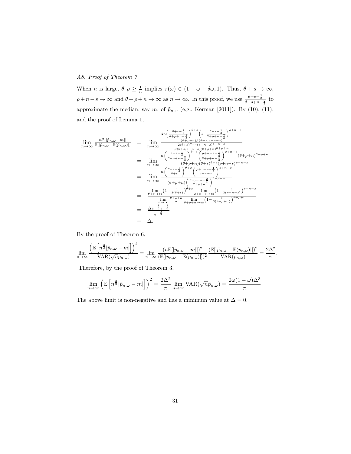# *A8. Proof of Theorem 7*

When *n* is large,  $\theta, \rho \geq \frac{1}{n}$  implies  $\tau(\omega) \in (1 - \omega + \delta \omega, 1)$ . Thus,  $\theta + s \to \infty$ ,  $\rho+n-s\to\infty$  and  $\theta+\rho+n\to\infty$  as  $n\to\infty$ . In this proof, we use  $\frac{\theta+s-\frac{1}{3}}{\theta+\rho+n-\frac{2}{3}}$  to approximate the median, say m, of  $\tilde{p}_{n,\omega}$  (e.g., Kerman [2011]). By (10), (11), and the proof of Lemma 1,

$$
\lim_{n \to \infty} \frac{n \mathbb{E}[|\tilde{p}_{n,\omega}-m|]}{\mathbb{E}[|\tilde{p}_{n,\omega}-\mathbb{E}(\tilde{p}_{n,\omega})|]} = \lim_{n \to \infty} \frac{\frac{2n\left(\frac{\theta+s-\frac{1}{3}}{\theta+\rho+n-\frac{2}{3}}\right)^{\theta+s}\left(1-\frac{\theta+s-\frac{1}{3}}{\theta+\rho+n-\frac{2}{3}}\right)^{\rho+n-s}}{2(\theta+s,\rho+n-\frac{2}{3})(\theta+s,\rho+n-s)}}{\frac{\beta(\theta+s,\rho+n-\frac{2}{3})}{\beta(\theta+s,\rho+n-\frac{2}{3})} + \beta(s-\rho+n-\frac{2}{3})}}{\frac{\beta(\theta+s-\frac{1}{3})}{\theta+\rho+n-\frac{2}{3}}} = \lim_{n \to \infty} \frac{n\left(\frac{\theta+s-\frac{1}{3}}{\theta+\rho+n-\frac{2}{3}}\right)^{\theta+s}\left(\frac{\rho+n-s-\frac{1}{3}}{\theta+\rho+n-\frac{2}{3}}\right)^{\rho+n-s}}{(\theta+\rho+n)(\theta+s)(\rho+s)(\rho+n-s)\rho+n-s}}{\frac{\beta(\theta+s-\frac{1}{3})}{\theta+\rho+n-\frac{2}{3}}} = \lim_{n \to \infty} \frac{n\left(\frac{\theta+s-\frac{1}{3}}{\theta+s-\frac{2}{3}}\right)^{\theta+s}\left(\frac{\rho+n-s-\frac{1}{3}}{\rho+n-\frac{2}{3}}\right)^{\rho+n-s}}{(\theta+\rho+n)\left(\frac{\theta+\rho+n-\frac{2}{3}}{\theta+\rho+n-\frac{2}{3}}\right)^{\theta+\rho+n}} = \frac{\lim_{n \to \infty} (1-\frac{1}{3(\rho+n-\frac{2}{3})})^{\rho+n-s}}{\lim_{n \to \infty} \frac{\theta+\rho+n}{n}} \lim_{\theta+\rho+n\to\infty} (1-\frac{2}{3(\rho+n-\frac{2}{3})})^{\theta+\rho+n}} = \frac{\Delta e^{-\frac{1}{3}}e^{-\frac{1}{3}}}{e^{-\frac{2}{3}}} = \Delta.
$$

By the proof of Theorem 6,

$$
\lim_{n \to \infty} \frac{\left(\mathbb{E}\left[n^{\frac{3}{2}}|\tilde{p}_{n,\omega} - m|\right]\right)^2}{\text{VAR}(\sqrt{n}\tilde{p}_{n,\omega})} = \lim_{n \to \infty} \frac{(n\mathbb{E}[|\tilde{p}_{n,\omega} - m|])^2}{(\mathbb{E}[|\tilde{p}_{n,\omega} - \mathbb{E}(\tilde{p}_{n,\omega})|])^2} \frac{(\mathbb{E}[|\tilde{p}_{n,\omega} - \mathbb{E}(\tilde{p}_{n,\omega})|])^2}{\text{VAR}(\tilde{p}_{n,\omega})} = \frac{2\Delta^2}{\pi}
$$

.

Therefore, by the proof of Theorem 3,

$$
\lim_{n \to \infty} \left( \mathbb{E} \left[ n^{\frac{3}{2}} |\tilde{p}_{n,\omega} - m| \right] \right)^2 = \frac{2\Delta^2}{\pi} \lim_{n \to \infty} \text{VAR}(\sqrt{n} \tilde{p}_{n,\omega}) = \frac{2\omega (1 - \omega)\Delta^3}{\pi}.
$$

The above limit is non-negative and has a minimum value at  $\Delta = 0$ .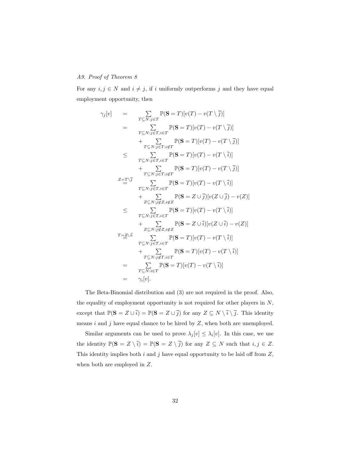# *A9. Proof of Theorem 8*

For any  $i, j \in N$  and  $i \neq j$ , if i uniformly outperforms j and they have equal employment opportunity, then

$$
\gamma_j[v] = \sum_{T \subseteq N:j \in T} \mathbb{P}(\mathbf{S} = T)[v(T) - v(T \setminus \overline{j})]
$$
\n
$$
= \sum_{T \subseteq N:j \in T} \mathbb{P}(\mathbf{S} = T)[v(T) - v(T \setminus \overline{j})]
$$
\n
$$
+ \sum_{T \subseteq N:j \in T,i \notin T} \mathbb{P}(\mathbf{S} = T)[v(T) - v(T \setminus \overline{j})]
$$
\n
$$
\leq \sum_{T \subseteq N:j \in T,i \notin T} \mathbb{P}(\mathbf{S} = T)[v(T) - v(T \setminus \overline{i})]
$$
\n
$$
+ \sum_{T \subseteq N:j \in T,i \in T} \mathbb{P}(\mathbf{S} = T)[v(T) - v(T \setminus \overline{j})]
$$
\n
$$
= \frac{z = T \setminus \overline{j}}{\sum_{T \subseteq N:j \in T,i \in T} \mathbb{P}(\mathbf{S} = T)[v(T) - v(T \setminus \overline{i})]}
$$
\n
$$
+ \sum_{Z \subseteq N:j \notin Z,i \notin Z} \mathbb{P}(\mathbf{S} = Z \cup \overline{j})[v(Z \cup \overline{j}) - v(Z)]
$$
\n
$$
+ \sum_{T \subseteq N:j \in T,i \in T} \mathbb{P}(\mathbf{S} = T)[v(T) - v(T \setminus \overline{i})]
$$
\n
$$
+ \sum_{Z \subseteq N:j \notin Z,i \notin Z} \mathbb{P}(\mathbf{S} = Z \cup \overline{i})[v(Z \cup \overline{i}) - v(Z)]
$$
\n
$$
= \sum_{T \subseteq N:j \in T,i \in T} \mathbb{P}(\mathbf{S} = T)[v(T) - v(T \setminus \overline{i})]
$$
\n
$$
= \sum_{T \subseteq N:i \in T} \mathbb{P}(\mathbf{S} = T)[v(T) - v(T \setminus \overline{i})]
$$
\n
$$
= \sum_{T \subseteq N:i \in T} \mathbb{P}(\mathbf{S} = T)[v(T) - v(T \setminus \overline{i})]
$$
\n
$$
= \gamma_i[v].
$$

The Beta-Binomial distribution and (3) are not required in the proof. Also, the equality of employment opportunity is not required for other players in  $N$ , except that  $\mathbb{P}(\mathbf{S} = Z \cup \overline{i}) = \mathbb{P}(\mathbf{S} = Z \cup \overline{j})$  for any  $Z \subseteq N \setminus \overline{i} \setminus \overline{j}$ . This identity means  $i$  and  $j$  have equal chance to be hired by  $Z$ , when both are unemployed.

Similar arguments can be used to prove  $\lambda_j[v] \leq \lambda_i[v]$ . In this case, we use the identity  $\mathbb{P}(\mathbf{S} = Z \setminus \overline{i}) = \mathbb{P}(\mathbf{S} = Z \setminus \overline{j})$  for any  $Z \subseteq N$  such that  $i, j \in Z$ . This identity implies both  $i$  and  $j$  have equal opportunity to be laid off from  $Z$ , when both are employed in Z.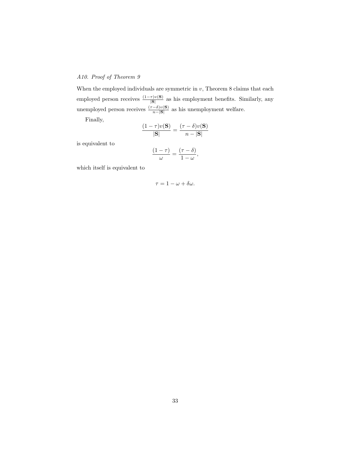# *A10. Proof of Theorem 9*

When the employed individuals are symmetric in  $v$ , Theorem 8 claims that each employed person receives  $\frac{(1-\tau)v(S)}{|S|}$  as his employment benefits. Similarly, any unemployed person receives  $\frac{(\tau - \delta)v(\mathbf{S})}{n-|\mathbf{S}|}$  as his unemployment welfare.

Finally,

$$
\frac{(1-\tau)v(\mathbf{S})}{|\mathbf{S}|} = \frac{(\tau-\delta)v(\mathbf{S})}{n-|\mathbf{S}|}
$$

is equivalent to

$$
\frac{(1-\tau)}{\omega} = \frac{(\tau-\delta)}{1-\omega},
$$

which itself is equivalent to

$$
\tau=1-\omega+\delta\omega.
$$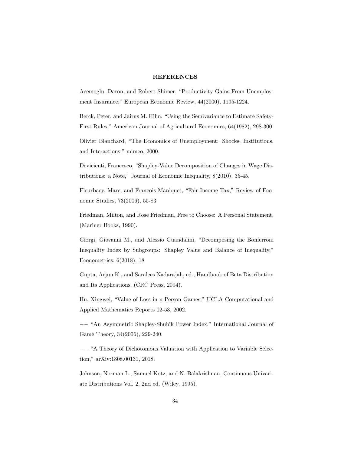#### REFERENCES

Acemoglu, Daron, and Robert Shimer, "Productivity Gains From Unemployment Insurance," European Economic Review, 44(2000), 1195-1224.

Berck, Peter, and Jairus M. Hihn, "Using the Semivariance to Estimate Safety-First Rules," American Journal of Agricultural Economics, 64(1982), 298-300.

Olivier Blanchard, "The Economics of Unemployment: Shocks, Institutions, and Interactions," mimeo, 2000.

Devicienti, Francesco, "Shapley-Value Decomposition of Changes in Wage Distributions: a Note," Journal of Economic Inequality, 8(2010), 35-45.

Fleurbaey, Marc, and Francois Maniquet, "Fair Income Tax," Review of Economic Studies, 73(2006), 55-83.

Friedman, Milton, and Rose Friedman, Free to Choose: A Personal Statement. (Mariner Books, 1990).

Giorgi, Giovanni M., and Alessio Guandalini, "Decomposing the Bonferroni Inequality Index by Subgroups: Shapley Value and Balance of Inequality," Econometrics, 6(2018), 18

Gupta, Arjun K., and Saralees Nadarajah, ed., Handbook of Beta Distribution and Its Applications. (CRC Press, 2004).

Hu, Xingwei, "Value of Loss in n-Person Games," UCLA Computational and Applied Mathematics Reports 02-53, 2002.

−− "An Asymmetric Shapley-Shubik Power Index," International Journal of Game Theory, 34(2006), 229-240.

−− "A Theory of Dichotomous Valuation with Application to Variable Selection," arXiv:1808.00131, 2018.

Johnson, Norman L., Samuel Kotz, and N. Balakrishnan, Continuous Univariate Distributions Vol. 2, 2nd ed. (Wiley, 1995).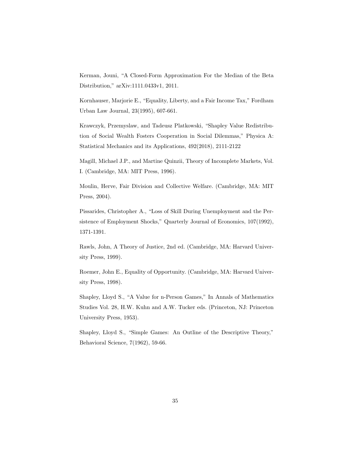Kerman, Jouni, "A Closed-Form Approximation For the Median of the Beta Distribution," arXiv:1111.0433v1, 2011.

Kornhauser, Marjorie E., "Equality, Liberty, and a Fair Income Tax," Fordham Urban Law Journal, 23(1995), 607-661.

Krawczyk, Przemyslaw, and Tadeusz Platkowski, "Shapley Value Redistribution of Social Wealth Fosters Cooperation in Social Dilemmas," Physica A: Statistical Mechanics and its Applications, 492(2018), 2111-2122

Magill, Michael J.P., and Martine Quinzii, Theory of Incomplete Markets, Vol. I. (Cambridge, MA: MIT Press, 1996).

Moulin, Herve, Fair Division and Collective Welfare. (Cambridge, MA: MIT Press, 2004).

Pissarides, Christopher A., "Loss of Skill During Unemployment and the Persistence of Employment Shocks," Quarterly Journal of Economics, 107(1992), 1371-1391.

Rawls, John, A Theory of Justice, 2nd ed. (Cambridge, MA: Harvard University Press, 1999).

Roemer, John E., Equality of Opportunity. (Cambridge, MA: Harvard University Press, 1998).

Shapley, Lloyd S., "A Value for n-Person Games," In Annals of Mathematics Studies Vol. 28, H.W. Kuhn and A.W. Tucker eds. (Princeton, NJ: Princeton University Press, 1953).

Shapley, Lloyd S., "Simple Games: An Outline of the Descriptive Theory," Behavioral Science, 7(1962), 59-66.